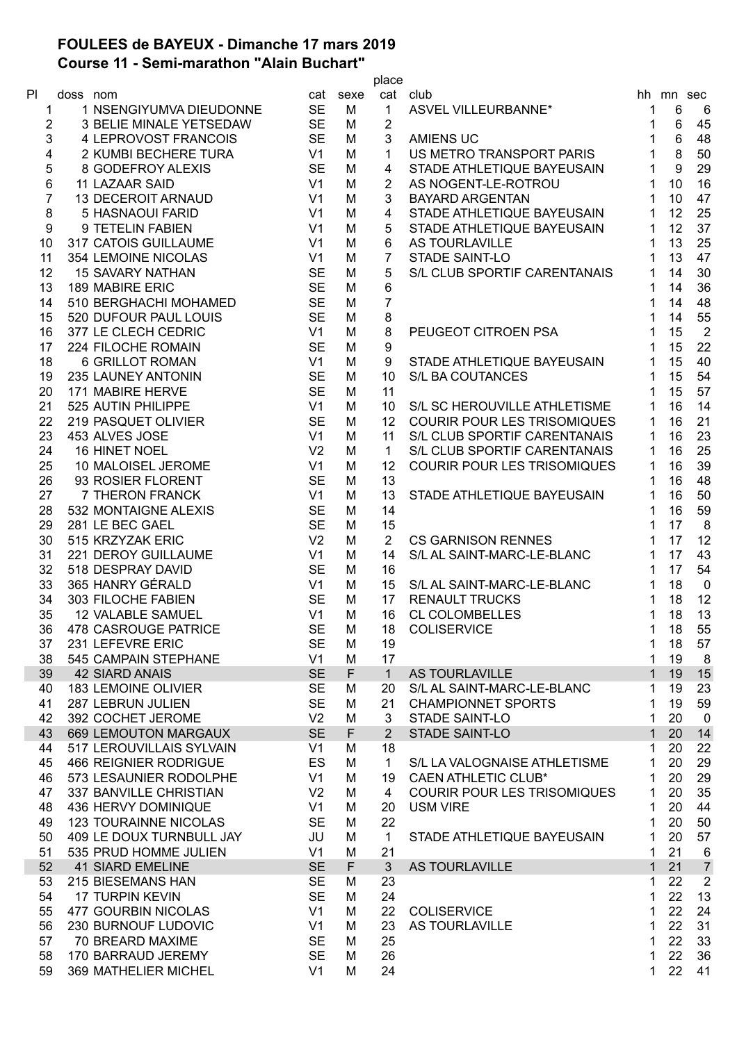## **FOULEES de BAYEUX - Dimanche 17 mars 2019 Course 11 - Semi-marathon "Alain Buchart"**

|                |          |                              |                |          | place          |                                    |              |           |                  |
|----------------|----------|------------------------------|----------------|----------|----------------|------------------------------------|--------------|-----------|------------------|
| PI.            | doss nom |                              |                | cat sexe |                | cat club                           |              | hh mn sec |                  |
| 1              |          | 1 NSENGIYUMVA DIEUDONNE      | <b>SE</b>      | М        | $\mathbf{1}$   | <b>ASVEL VILLEURBANNE*</b>         | 1            | 6         | 6                |
| 2              |          | 3 BELIE MINALE YETSEDAW      | <b>SE</b>      | М        | $\overline{2}$ |                                    | 1            | 6         | 45               |
| 3              |          | 4 LEPROVOST FRANCOIS         | <b>SE</b>      | M        | 3              | <b>AMIENS UC</b>                   | 1            | 6         | 48               |
| 4              |          | 2 KUMBI BECHERE TURA         | V1             | M        | $\mathbf{1}$   | US METRO TRANSPORT PARIS           | $\mathbf{1}$ | 8         | 50               |
| 5              |          | 8 GODEFROY ALEXIS            | <b>SE</b>      | M        | 4              | STADE ATHLETIQUE BAYEUSAIN         | 1            | 9         | 29               |
| 6              |          | 11 LAZAAR SAID               | V <sub>1</sub> | M        | 2              | AS NOGENT-LE-ROTROU                | 1            | 10        | 16               |
| $\overline{7}$ |          | <b>13 DECEROIT ARNAUD</b>    | V <sub>1</sub> | M        | 3              | <b>BAYARD ARGENTAN</b>             | 1            | 10        | 47               |
| 8              |          | 5 HASNAOUI FARID             | V <sub>1</sub> | M        | 4              | STADE ATHLETIQUE BAYEUSAIN         | 1            | 12        | 25               |
| 9              |          | 9 TETELIN FABIEN             | V <sub>1</sub> | M        | 5              | STADE ATHLETIQUE BAYEUSAIN         | 1            | 12        | 37               |
| 10             |          | 317 CATOIS GUILLAUME         | V <sub>1</sub> | M        | 6              | AS TOURLAVILLE                     | 1            | 13        | 25               |
| 11             |          | <b>354 LEMOINE NICOLAS</b>   | V <sub>1</sub> | M        | 7              | <b>STADE SAINT-LO</b>              |              | 13        | 47               |
| 12             |          | <b>15 SAVARY NATHAN</b>      | <b>SE</b>      | M        | 5              | S/L CLUB SPORTIF CARENTANAIS       |              | 14        | 30               |
| 13             |          | <b>189 MABIRE ERIC</b>       | <b>SE</b>      | M        | 6              |                                    |              | 14        | 36               |
| 14             |          | 510 BERGHACHI MOHAMED        | <b>SE</b>      | M        | $\overline{7}$ |                                    |              | 14        | 48               |
| 15             |          | 520 DUFOUR PAUL LOUIS        | <b>SE</b>      | M        | 8              |                                    |              | 14        | 55               |
| 16             |          | 377 LE CLECH CEDRIC          | V <sub>1</sub> | M        | $\bf 8$        | PEUGEOT CITROEN PSA                |              | 15        | $\overline{2}$   |
| 17             |          | 224 FILOCHE ROMAIN           | <b>SE</b>      | M        | 9              |                                    |              | 15        | 22               |
| 18             |          | <b>6 GRILLOT ROMAN</b>       | V <sub>1</sub> | M        | 9              | STADE ATHLETIQUE BAYEUSAIN         | 1            | 15        | 40               |
| 19             |          | 235 LAUNEY ANTONIN           | <b>SE</b>      | M        | 10             | S/L BA COUTANCES                   | 1            | 15        | 54               |
| 20             |          | 171 MABIRE HERVE             | <b>SE</b>      | M        | 11             |                                    |              | 15        | 57               |
| 21             |          | 525 AUTIN PHILIPPE           | V <sub>1</sub> | M        | 10             | S/L SC HEROUVILLE ATHLETISME       | 1            | 16        | 14               |
| 22             |          | 219 PASQUET OLIVIER          | <b>SE</b>      | M        | 12             | <b>COURIR POUR LES TRISOMIQUES</b> | 1            | 16        | 21               |
| 23             |          | 453 ALVES JOSE               | V <sub>1</sub> | M        | 11             | S/L CLUB SPORTIF CARENTANAIS       | 1            | 16        | 23               |
| 24             |          | 16 HINET NOEL                | V <sub>2</sub> | M        | $\mathbf{1}$   | S/L CLUB SPORTIF CARENTANAIS       | 1            | 16        | 25               |
| 25             |          | 10 MALOISEL JEROME           | V <sub>1</sub> | M        | 12             | COURIR POUR LES TRISOMIQUES        | 1            | 16        | 39               |
| 26             |          | 93 ROSIER FLORENT            | <b>SE</b>      | M        | 13             |                                    |              | 16        | 48               |
| 27             |          | 7 THERON FRANCK              | V <sub>1</sub> | M        | 13             | STADE ATHLETIQUE BAYEUSAIN         | 1            | 16        | 50               |
| 28             |          | 532 MONTAIGNE ALEXIS         | <b>SE</b>      | M        | 14             |                                    |              | 16        | 59               |
| 29             |          | 281 LE BEC GAEL              | <b>SE</b>      | M        | 15             |                                    |              | 17        | 8                |
| 30             |          | 515 KRZYZAK ERIC             | V <sub>2</sub> | M        | $\overline{2}$ | <b>CS GARNISON RENNES</b>          | 1            | 17        | 12               |
| 31             |          | 221 DEROY GUILLAUME          | V <sub>1</sub> | M        | 14             | S/L AL SAINT-MARC-LE-BLANC         | 1            | 17        | 43               |
| 32             |          | 518 DESPRAY DAVID            | <b>SE</b>      | M        | 16             |                                    | 1            | 17        | 54               |
| 33             |          | 365 HANRY GÉRALD             | V <sub>1</sub> | M        | 15             | S/L AL SAINT-MARC-LE-BLANC         | 1            | 18        | 0                |
| 34             |          | 303 FILOCHE FABIEN           | <b>SE</b>      | M        | 17             | <b>RENAULT TRUCKS</b>              |              | 18        | 12               |
| 35             |          | <b>12 VALABLE SAMUEL</b>     | V <sub>1</sub> | M        | 16             | <b>CL COLOMBELLES</b>              | 1            | 18        | 13               |
| 36             |          | 478 CASROUGE PATRICE         | <b>SE</b>      | M        | 18             | <b>COLISERVICE</b>                 | 1            | 18        | 55               |
| 37             |          | 231 LEFEVRE ERIC             | <b>SE</b>      | M        | 19             |                                    | 1            | 18        | 57               |
| 38             |          | 545 CAMPAIN STEPHANE         | V <sub>1</sub> | M        | 17             |                                    | 1            | 19        | 8                |
| 39             |          | <b>42 SIARD ANAIS</b>        | <b>SE</b>      | F        | $\mathbf{1}$   | <b>AS TOURLAVILLE</b>              | 1            | 19        | 15               |
| 40             |          | <b>183 LEMOINE OLIVIER</b>   | <b>SE</b>      | M        | 20             | S/L AL SAINT-MARC-LE-BLANC         | 1            | 19        | 23               |
| 41             |          | 287 LEBRUN JULIEN            | <b>SE</b>      | M        | 21             | <b>CHAMPIONNET SPORTS</b>          | 1            | 19        | 59               |
| 42             |          | 392 COCHET JEROME            | V <sub>2</sub> | M        | 3              | <b>STADE SAINT-LO</b>              | 1            | 20        | $\mathbf 0$      |
| 43             |          | <b>669 LEMOUTON MARGAUX</b>  | <b>SE</b>      | F        | $\overline{2}$ | <b>STADE SAINT-LO</b>              | 1            | 20        | 14               |
| 44             |          | 517 LEROUVILLAIS SYLVAIN     | V <sub>1</sub> | M        | 18             |                                    | 1            | 20        | 22               |
| 45             |          | <b>466 REIGNIER RODRIGUE</b> | ES             | M        | $\mathbf{1}$   | S/L LA VALOGNAISE ATHLETISME       | 1            | 20        | 29               |
| 46             |          | 573 LESAUNIER RODOLPHE       | V <sub>1</sub> | M        | 19             | <b>CAEN ATHLETIC CLUB*</b>         | 1            | 20        | 29               |
| 47             |          | 337 BANVILLE CHRISTIAN       | V <sub>2</sub> | M        | 4              | <b>COURIR POUR LES TRISOMIQUES</b> | 1            | 20        | 35               |
| 48             |          | 436 HERVY DOMINIQUE          | V <sub>1</sub> | M        | 20             | <b>USM VIRE</b>                    | 1            | 20        | 44               |
| 49             |          | <b>123 TOURAINNE NICOLAS</b> | <b>SE</b>      | M        | 22             |                                    | 1            | 20        | 50               |
| 50             |          | 409 LE DOUX TURNBULL JAY     | JU             | M        | $\mathbf{1}$   | STADE ATHLETIQUE BAYEUSAIN         | 1            | 20        | 57               |
| 51             |          | 535 PRUD HOMME JULIEN        | V <sub>1</sub> | M        | 21             |                                    | 1            | 21        | 6                |
| 52             |          | <b>41 SIARD EMELINE</b>      | <b>SE</b>      | F.       | $\mathfrak{S}$ | <b>AS TOURLAVILLE</b>              | $\mathbf{1}$ | 21        | $\overline{7}$   |
| 53             |          | 215 BIESEMANS HAN            | <b>SE</b>      | М        | 23             |                                    | 1            | 22        | $\boldsymbol{2}$ |
| 54             |          | <b>17 TURPIN KEVIN</b>       | <b>SE</b>      | M        | 24             |                                    | 1            | 22        | 13               |
| 55             |          | 477 GOURBIN NICOLAS          | V <sub>1</sub> | M        | 22             | <b>COLISERVICE</b>                 | 1            | 22        | 24               |
| 56             |          | 230 BURNOUF LUDOVIC          | V <sub>1</sub> | M        | 23             | AS TOURLAVILLE                     | 1            | 22        | 31               |
| 57             |          | 70 BREARD MAXIME             | <b>SE</b>      | M        | 25             |                                    | 1            | 22        | 33               |
| 58             |          | 170 BARRAUD JEREMY           | <b>SE</b>      | M        | 26             |                                    | 1            | 22        | 36               |
| 59             |          | 369 MATHELIER MICHEL         | V <sub>1</sub> | M        | 24             |                                    | 1            | 22        | 41               |
|                |          |                              |                |          |                |                                    |              |           |                  |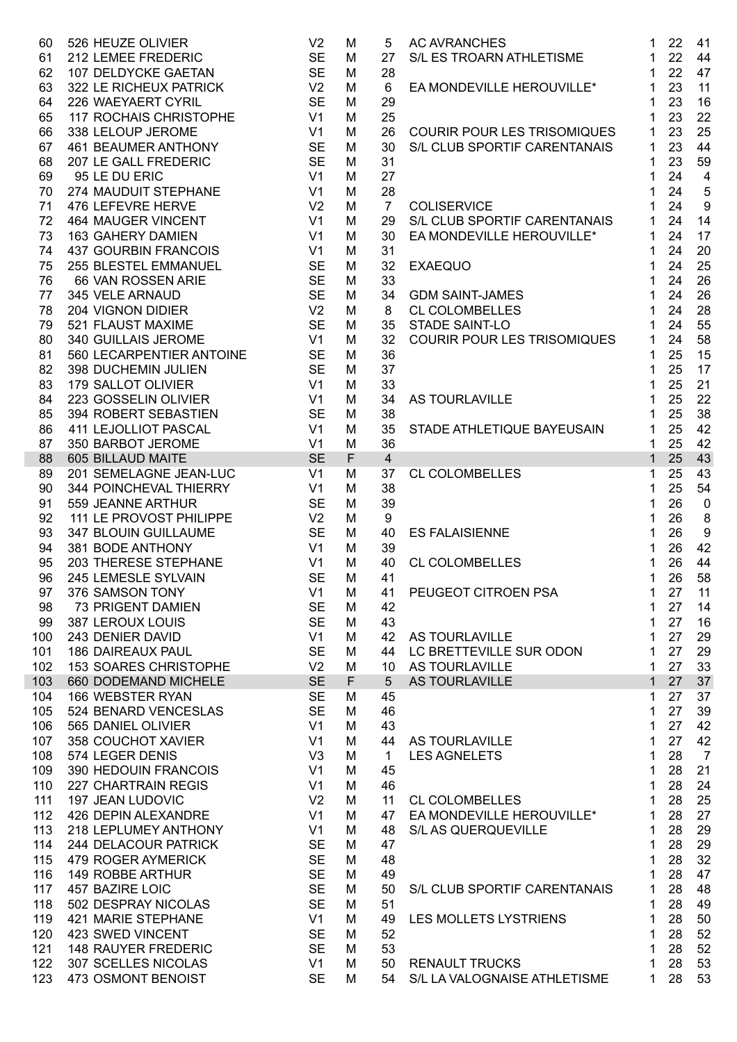| 60       | 526 HEUZE OLIVIER                      | V <sub>2</sub>  | M           | 5              | <b>AC AVRANCHES</b>                | 22<br>$\mathbf 1$<br>41                       |
|----------|----------------------------------------|-----------------|-------------|----------------|------------------------------------|-----------------------------------------------|
| 61       | 212 LEMEE FREDERIC                     | <b>SE</b>       | M           | 27             | S/L ES TROARN ATHLETISME           | 22<br>44<br>1                                 |
| 62       | 107 DELDYCKE GAETAN                    | <b>SE</b>       | M           | 28             |                                    | 47<br>22<br>1                                 |
| 63       | 322 LE RICHEUX PATRICK                 | V <sub>2</sub>  | M           | 6              | EA MONDEVILLE HEROUVILLE*          | 11<br>23<br>1                                 |
| 64       | 226 WAEYAERT CYRIL                     | <b>SE</b>       | M           | 29             |                                    | 16<br>23<br>1                                 |
| 65       | 117 ROCHAIS CHRISTOPHE                 | V <sub>1</sub>  | M           | 25             |                                    | 23<br>22<br>1                                 |
| 66       | 338 LELOUP JEROME                      | V1              | M           | 26             | <b>COURIR POUR LES TRISOMIQUES</b> | 25<br>23<br>1                                 |
| 67       | 461 BEAUMER ANTHONY                    | <b>SE</b>       | M           | 30             | S/L CLUB SPORTIF CARENTANAIS       | 23<br>44<br>1                                 |
| 68       | 207 LE GALL FREDERIC                   | <b>SE</b>       | M           | 31             |                                    | 23<br>59<br>1                                 |
| 69       | 95 LE DU ERIC                          | V <sub>1</sub>  | M           | 27             |                                    | 24<br>$\overline{\mathbf{4}}$<br>1            |
| 70       | 274 MAUDUIT STEPHANE                   | V <sub>1</sub>  | M           | 28             |                                    | 24<br>$\sqrt{5}$<br>1                         |
| 71       | 476 LEFEVRE HERVE                      | V <sub>2</sub>  | M           | $\overline{7}$ | <b>COLISERVICE</b>                 | $\boldsymbol{9}$<br>24<br>1                   |
| 72       | <b>464 MAUGER VINCENT</b>              | V <sub>1</sub>  | M           | 29             | S/L CLUB SPORTIF CARENTANAIS       | 14<br>24<br>1                                 |
| 73       | 163 GAHERY DAMIEN                      | V <sub>1</sub>  | M           | 30             | EA MONDEVILLE HEROUVILLE*          | 24<br>17<br>1                                 |
| 74       | 437 GOURBIN FRANCOIS                   | V <sub>1</sub>  | M           | 31             |                                    | 20<br>24<br>1                                 |
| 75       | 255 BLESTEL EMMANUEL                   | <b>SE</b>       | M           | 32             | <b>EXAEQUO</b>                     | 24<br>25<br>1                                 |
| 76       | 66 VAN ROSSEN ARIE                     | <b>SE</b>       | M           | 33             |                                    | 26<br>24<br>1                                 |
| 77       | 345 VELE ARNAUD                        | <b>SE</b>       | M           | 34             | <b>GDM SAINT-JAMES</b>             | 26<br>24<br>1                                 |
| 78       | 204 VIGNON DIDIER                      | V <sub>2</sub>  | M           | 8              | <b>CL COLOMBELLES</b>              | 28<br>24<br>1                                 |
| 79       | 521 FLAUST MAXIME                      | SE SE           | M           | 35             | STADE SAINT-LO                     | 55<br>24<br>1                                 |
| 80       | 340 GUILLAIS JEROME                    | V1              | M           | 32             | COURIR POUR LES TRISOMIQUES        | 24<br>58<br>1                                 |
| 81       | 560 LECARPENTIER ANTOINE               | <b>SE</b>       | M           | 36             |                                    | 25<br>15<br>1.                                |
| 82       | 398 DUCHEMIN JULIEN                    | <b>SE</b>       | M           | 37             |                                    | 25<br>17<br>1                                 |
| 83       | 179 SALLOT OLIVIER                     | V <sub>1</sub>  | M           | 33             |                                    | 25<br>21<br>1                                 |
| 84       | 223 GOSSELIN OLIVIER                   | V <sub>1</sub>  | M           | 34             | AS TOURLAVILLE                     | 25<br>22<br>1                                 |
| 85       | 394 ROBERT SEBASTIEN                   | <b>SE</b>       | M           | 38             |                                    | 25<br>38<br>1.                                |
| 86       | 411 LEJOLLIOT PASCAL                   | V <sub>1</sub>  | M           | 35             |                                    | 25<br>42<br>1                                 |
|          |                                        | V1              | M           | 36             | STADE ATHLETIQUE BAYEUSAIN         | 42<br>25<br>1                                 |
| 87<br>88 | 350 BARBOT JEROME<br>605 BILLAUD MAITE | <b>SE</b>       | $\mathsf F$ | $\overline{4}$ |                                    | 25<br>43<br>$\mathbf{1}$                      |
| 89       | 201 SEMELAGNE JEAN-LUC                 | V <sub>1</sub>  | M           | 37             | <b>CL COLOMBELLES</b>              | 25<br>43<br>1                                 |
| 90       | 344 POINCHEVAL THIERRY                 | V <sub>1</sub>  | M           | 38             |                                    | 54<br>25<br>1                                 |
| 91       | 559 JEANNE ARTHUR                      | <b>SE</b>       | M           | 39             |                                    | 26<br>$\mathbf 0$<br>1                        |
|          | 111 LE PROVOST PHILIPPE                | V <sub>2</sub>  | M           | 9              |                                    | 26                                            |
| 92       |                                        | <b>SE</b>       |             |                |                                    | 8<br>1<br>$\boldsymbol{9}$<br>26              |
| 93       | 347 BLOUIN GUILLAUME                   |                 | M           | 40             | <b>ES FALAISIENNE</b>              | 1                                             |
| 94       | 381 BODE ANTHONY                       | V <sub>1</sub>  | M           | 39             |                                    | 42<br>26<br>1                                 |
| 95       | 203 THERESE STEPHANE                   | V1              | M           | 40             | <b>CL COLOMBELLES</b>              | 44<br>26<br>1                                 |
| 96       | 245 LEMESLE SYLVAIN                    | <b>SE</b><br>V1 | M           | 41             | PEUGEOT CITROEN PSA                | 26<br>58<br>$\mathbf 1$<br>27<br>$\mathbf{1}$ |
| 97       | 376 SAMSON TONY                        |                 | M           | 41             |                                    | 11                                            |
| 98       | 73 PRIGENT DAMIEN                      | <b>SE</b>       | M           | 42             |                                    | 27<br>14<br>1                                 |
| 99       | 387 LEROUX LOUIS                       | <b>SE</b>       | M           | 43             |                                    | 27<br>16<br>1                                 |
| 100      | 243 DENIER DAVID                       | V <sub>1</sub>  | M           | 42             | AS TOURLAVILLE                     | 29<br>27<br>1                                 |
| 101      | <b>186 DAIREAUX PAUL</b>               | <b>SE</b>       | M           | 44             | LC BRETTEVILLE SUR ODON            | 29<br>27<br>1                                 |
| 102      | 153 SOARES CHRISTOPHE                  | V <sub>2</sub>  | M           | 10             | AS TOURLAVILLE                     | 33<br>27<br>1                                 |
| 103      | 660 DODEMAND MICHELE                   | <b>SE</b>       | F           | 5              | AS TOURLAVILLE                     | 37<br>27<br>1                                 |
| 104      | 166 WEBSTER RYAN                       | <b>SE</b>       | M           | 45             |                                    | 37<br>27<br>1                                 |
| 105      | 524 BENARD VENCESLAS                   | <b>SE</b>       | M           | 46             |                                    | 39<br>27<br>1                                 |
| 106      | 565 DANIEL OLIVIER                     | V <sub>1</sub>  | M           | 43             |                                    | 42<br>27<br>1                                 |
| 107      | 358 COUCHOT XAVIER                     | V <sub>1</sub>  | M           | 44             | AS TOURLAVILLE                     | 42<br>27<br>1                                 |
| 108      | 574 LEGER DENIS                        | V3              | M           | $\mathbf 1$    | <b>LES AGNELETS</b>                | 28<br>$\overline{7}$<br>1                     |
| 109      | 390 HEDOUIN FRANCOIS                   | V <sub>1</sub>  | M           | 45             |                                    | 28<br>21<br>1                                 |
| 110      | 227 CHARTRAIN REGIS                    | V <sub>1</sub>  | M           | 46             |                                    | 28<br>24<br>1                                 |
| 111      | 197 JEAN LUDOVIC                       | V <sub>2</sub>  | M           | 11             | <b>CL COLOMBELLES</b>              | 25<br>28<br>1                                 |
| 112      | 426 DEPIN ALEXANDRE                    | V <sub>1</sub>  | M           | 47             | EA MONDEVILLE HEROUVILLE*          | 27<br>28<br>1                                 |
| 113      | 218 LEPLUMEY ANTHONY                   | V <sub>1</sub>  | M           | 48             | S/L AS QUERQUEVILLE                | 29<br>28<br>1                                 |
| 114      | 244 DELACOUR PATRICK                   | <b>SE</b>       | M           | 47             |                                    | 29<br>28<br>1                                 |
| 115      | 479 ROGER AYMERICK                     | <b>SE</b>       | M           | 48             |                                    | 32<br>28<br>1                                 |
| 116      | 149 ROBBE ARTHUR                       | <b>SE</b>       | M           | 49             |                                    | 47<br>28<br>1                                 |
| 117      | 457 BAZIRE LOIC                        | <b>SE</b>       | M           | 50             | S/L CLUB SPORTIF CARENTANAIS       | 48<br>28<br>1                                 |
| 118      | 502 DESPRAY NICOLAS                    | <b>SE</b>       | M           | 51             |                                    | 49<br>28<br>1                                 |
| 119      | 421 MARIE STEPHANE                     | V <sub>1</sub>  | M           | 49             | LES MOLLETS LYSTRIENS              | 28<br>50<br>1                                 |
| 120      | 423 SWED VINCENT                       | <b>SE</b>       | M           | 52             |                                    | 28<br>52<br>1                                 |
| 121      | <b>148 RAUYER FREDERIC</b>             | <b>SE</b>       | M           | 53             |                                    | 28<br>52<br>1                                 |
| 122      | 307 SCELLES NICOLAS                    | V <sub>1</sub>  | M           | 50             | <b>RENAULT TRUCKS</b>              | 28<br>53<br>1                                 |
| 123      | 473 OSMONT BENOIST                     | <b>SE</b>       | M           | 54             | S/L LA VALOGNAISE ATHLETISME       | 28<br>53<br>1                                 |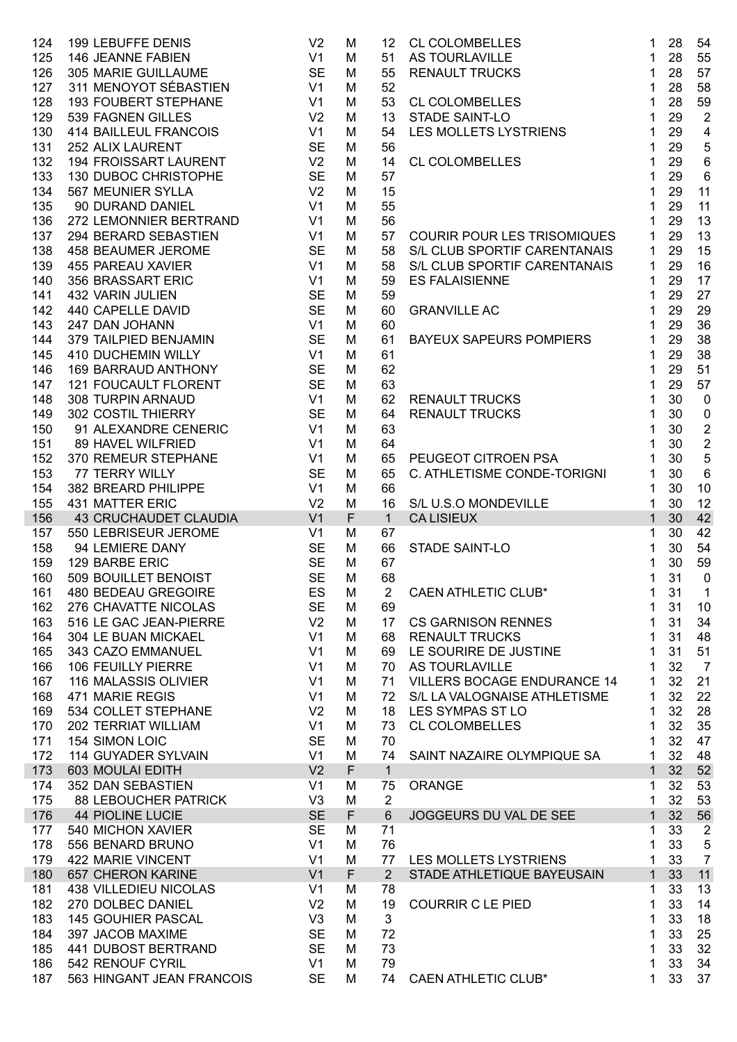| 124 | <b>199 LEBUFFE DENIS</b>                                                                                                                   | V <sub>2</sub> | M            | 12              | CL COLOMBELLES<br>AS TOURLAVILLE<br>RENAULT TRUCKS<br>CL COLOMBELLES<br>STADE SAINT-LO<br>LES MOLLETS LYSTRIENS<br><b>CL COLOMBELLES</b> | 1<br>28              | 54                      |
|-----|--------------------------------------------------------------------------------------------------------------------------------------------|----------------|--------------|-----------------|------------------------------------------------------------------------------------------------------------------------------------------|----------------------|-------------------------|
| 125 | 146 JEANNE FABIEN                                                                                                                          | V <sub>1</sub> | M            | 51              |                                                                                                                                          | 28<br>1              | 55                      |
| 126 | 305 MARIE GUILLAUME                                                                                                                        | <b>SE</b>      | M            | 55              |                                                                                                                                          | 28<br>1              | 57                      |
| 127 | 311 MENOYOT SÉBASTIEN                                                                                                                      | V1             | M            | 52              |                                                                                                                                          | 28<br>1              | 58                      |
| 128 | <b>193 FOUBERT STEPHANE</b>                                                                                                                | V <sub>1</sub> | M            | 53              |                                                                                                                                          | 28<br>$\mathbf 1$    | 59                      |
| 129 | 539 FAGNEN GILLES                                                                                                                          | V <sub>2</sub> | M            | 13              |                                                                                                                                          | 29<br>$\mathbf 1$    | $\overline{2}$          |
| 130 | 414 BAILLEUL FRANCOIS                                                                                                                      | V <sub>1</sub> | M            | 54              |                                                                                                                                          | $\mathbf{1}$<br>29   | $\overline{\mathbf{4}}$ |
| 131 | 252 ALIX LAURENT                                                                                                                           | <b>SE</b>      | M            | 56              |                                                                                                                                          | 29<br>1              | $\overline{5}$          |
| 132 | <b>194 FROISSART LAURENT</b>                                                                                                               | V <sub>2</sub> | M            | 14              | <b>CL COLOMBELLES</b>                                                                                                                    | 29<br>1              | $6\phantom{1}6$         |
| 133 | 130 DUBOC CHRISTOPHE                                                                                                                       | <b>SE</b>      | M            | 57              |                                                                                                                                          | 29<br>1              | $\,6\,$                 |
| 134 | 567 MEUNIER SYLLA                                                                                                                          | V <sub>2</sub> | M            | 15              |                                                                                                                                          | 29<br>1              | 11                      |
| 135 | 90 DURAND DANIEL                                                                                                                           | V <sub>1</sub> | M            | 55              |                                                                                                                                          | 29<br>1              | 11                      |
| 136 | 272 LEMONNIER BERTRAND                                                                                                                     | V1             | M            | 56              |                                                                                                                                          | 29<br>1              | 13                      |
| 137 | 294 BERARD SEBASTIEN                                                                                                                       | V1             | M            | 57              | <b>COURIR POUR LES TRISOMIQUES</b>                                                                                                       | 29<br>1              | 13                      |
| 138 | 458 BEAUMER JEROME                                                                                                                         | <b>SE</b>      | M            | 58              | S/L CLUB SPORTIF CARENTANAIS                                                                                                             | 29<br>$\mathbf 1$    | 15                      |
| 139 | 455 PAREAU XAVIER                                                                                                                          | V <sub>1</sub> | M            | 58              | S/L CLUB SPORTIF CARENTANAIS                                                                                                             | 29<br>1              | 16                      |
| 140 |                                                                                                                                            | V <sub>1</sub> | M            | 59              | <b>ES FALAISIENNE</b>                                                                                                                    | 29<br>1              | 17                      |
| 141 | 455 FANLAS AWNER<br>356 BRASSART ERIC<br>432 VARIN JULIEN<br>440 CAPELLE DAVID<br>247 DAN JOHANN<br>379 TAILPIED BENJAMIN<br>11 DAN JOHANN | <b>SE</b>      | M            | 59              |                                                                                                                                          | 29<br>1              | 27                      |
| 142 |                                                                                                                                            | <b>SE</b>      | M            | 60              | <b>GRANVILLE AC</b>                                                                                                                      | 29<br>1              | 29                      |
| 143 |                                                                                                                                            | V1             | M            | 60              |                                                                                                                                          | 29<br>1              | 36                      |
| 144 |                                                                                                                                            | <b>SE</b>      | M            | 61              | BAYEUX SAPEURS POMPIERS                                                                                                                  | 29<br>1              | 38                      |
| 145 | 410 DUCHEMIN WILLY                                                                                                                         | V1             | M            | 61              |                                                                                                                                          | 29<br>1              | 38                      |
| 146 | 169 BARRAUD ANTHONY                                                                                                                        | <b>SE</b>      | M            | 62              |                                                                                                                                          | 29<br>1              | 51                      |
| 147 | <b>121 FOUCAULT FLORENT</b>                                                                                                                | <b>SE</b>      | M            | 63              |                                                                                                                                          | 29<br>1              | 57                      |
| 148 | 308 TURPIN ARNAUD                                                                                                                          | V1             | M            | 62              | <b>RENAULT TRUCKS</b>                                                                                                                    | 30<br>1              | $\pmb{0}$               |
| 149 | 302 COSTIL THIERRY                                                                                                                         | <b>SE</b>      | M            | 64              | <b>RENAULT TRUCKS</b>                                                                                                                    | 30<br>1              | $\pmb{0}$               |
| 150 | 91 ALEXANDRE CENERIC                                                                                                                       | V <sub>1</sub> | M            | 63              |                                                                                                                                          | 30<br>1              | $\sqrt{2}$              |
| 151 | 89 HAVEL WILFRIED                                                                                                                          | V <sub>1</sub> | M            | 64              |                                                                                                                                          | 30<br>1              | $\sqrt{2}$              |
| 152 | 370 REMEUR STEPHANE                                                                                                                        | V1             | M            | 65              | PEUGEOT CITROEN PSA                                                                                                                      | 30<br>1              | $\overline{5}$          |
| 153 | 77 TERRY WILLY                                                                                                                             | <b>SE</b>      | M            | 65              | C. ATHLETISME CONDE-TORIGNI                                                                                                              | 30<br>1              | $6\phantom{1}6$         |
| 154 | 382 BREARD PHILIPPE                                                                                                                        | V <sub>1</sub> | M            | 66              |                                                                                                                                          | 30<br>1              | 10                      |
| 155 | 431 MATTER ERIC                                                                                                                            | V <sub>2</sub> | M            | 16              | S/L U.S.O MONDEVILLE                                                                                                                     | 30<br>1              | 12                      |
| 156 | <b>43 CRUCHAUDET CLAUDIA</b>                                                                                                               | V <sub>1</sub> | $\mathsf{F}$ | $\mathbf{1}$    | <b>CALISIEUX</b>                                                                                                                         | $\mathbf{1}$<br>30   | 42                      |
| 157 | 550 LEBRISEUR JEROME<br>V1                                                                                                                 |                | M            | 67              | STADE SAINT-LO<br>CAEN ATHLETIC CLUB*                                                                                                    | 30<br>1              | 42                      |
| 158 | 94 LEMIERE DANY                                                                                                                            | <b>SE</b>      | M            | 66              |                                                                                                                                          | 30<br>1              | 54                      |
| 159 | 129 BARBE ERIC                                                                                                                             | <b>SE</b>      | M            | 67              |                                                                                                                                          | 30<br>1              | 59                      |
| 160 | 129 BARBE ERIC<br>509 BOUILLET BENOIST                                                                                                     | <b>SE</b>      | M            | 68              |                                                                                                                                          | 31<br>1              | $\mathbf 0$             |
|     | 161 480 BEDEAU GREGOIRE<br><b>ES</b> M                                                                                                     |                |              | $\overline{2}$  |                                                                                                                                          | $1 \quad 31 \quad 1$ |                         |
| 162 | 276 CHAVATTE NICOLAS                                                                                                                       | <b>SE</b>      | M            | 69              |                                                                                                                                          | 31<br>1              | 10                      |
| 163 | 516 LE GAC JEAN-PIERRE                                                                                                                     | V <sub>2</sub> | M            | 17 <sup>2</sup> | <b>CS GARNISON RENNES</b>                                                                                                                | 31<br>1              | 34                      |
| 164 | 304 LE BUAN MICKAEL                                                                                                                        | V <sub>1</sub> | M            | 68              | <b>RENAULT TRUCKS</b>                                                                                                                    | 31<br>1              | 48                      |
| 165 | 343 CAZO EMMANUEL                                                                                                                          | V <sub>1</sub> | M            | 69              | LE SOURIRE DE JUSTINE                                                                                                                    | 31<br>1              | 51                      |
| 166 | 106 FEUILLY PIERRE                                                                                                                         | V <sub>1</sub> | M            | 70              | AS TOURLAVILLE                                                                                                                           | 32<br>1              | $\overline{7}$          |
| 167 | 116 MALASSIS OLIVIER                                                                                                                       | V <sub>1</sub> | M            | 71              | <b>VILLERS BOCAGE ENDURANCE 14</b>                                                                                                       | 32<br>1              | 21                      |
| 168 | 471 MARIE REGIS                                                                                                                            | V <sub>1</sub> | M            | 72              | S/L LA VALOGNAISE ATHLETISME                                                                                                             | 32<br>1              | 22                      |
| 169 | 534 COLLET STEPHANE                                                                                                                        | V <sub>2</sub> | M            | 18              | LES SYMPAS ST LO                                                                                                                         | 32<br>1              | 28                      |
| 170 | <b>202 TERRIAT WILLIAM</b>                                                                                                                 | V <sub>1</sub> | M            | 73              | <b>CL COLOMBELLES</b>                                                                                                                    | 32<br>1              | 35                      |
| 171 | 154 SIMON LOIC                                                                                                                             | <b>SE</b>      | M            | 70              |                                                                                                                                          | 32<br>1              | 47                      |
| 172 | 114 GUYADER SYLVAIN                                                                                                                        | V <sub>1</sub> | M            | 74              | SAINT NAZAIRE OLYMPIQUE SA                                                                                                               | 32<br>1              | 48                      |
| 173 | 603 MOULAI EDITH                                                                                                                           | V <sub>2</sub> | F            | $\mathbf{1}$    |                                                                                                                                          | 32<br>$\mathbf{1}$   | 52                      |
| 174 | 352 DAN SEBASTIEN                                                                                                                          | V <sub>1</sub> | M            | 75              | <b>ORANGE</b>                                                                                                                            | 32<br>1              | 53                      |
| 175 | <b>88 LEBOUCHER PATRICK</b>                                                                                                                | V <sub>3</sub> | M            | 2               |                                                                                                                                          | 32<br>1              | 53                      |
| 176 | <b>44 PIOLINE LUCIE</b>                                                                                                                    | <b>SE</b>      | $\mathsf{F}$ | $6\phantom{1}$  | JOGGEURS DU VAL DE SEE                                                                                                                   | $\mathbf{1}$<br>32   | 56                      |
| 177 | 540 MICHON XAVIER                                                                                                                          | <b>SE</b>      | M            | 71              |                                                                                                                                          | 33<br>1              | $\sqrt{2}$              |
| 178 | 556 BENARD BRUNO                                                                                                                           | V <sub>1</sub> | M            | 76              |                                                                                                                                          | 33<br>1              | 5                       |
| 179 | 422 MARIE VINCENT                                                                                                                          | V <sub>1</sub> | M            | 77              | LES MOLLETS LYSTRIENS                                                                                                                    | 33<br>1              | $\overline{7}$          |
| 180 | 657 CHERON KARINE                                                                                                                          | V <sub>1</sub> | F            | $\overline{2}$  | STADE ATHLETIQUE BAYEUSAIN                                                                                                               | $\mathbf{1}$<br>33   | 11                      |
| 181 | <b>438 VILLEDIEU NICOLAS</b>                                                                                                               | V <sub>1</sub> | M            | 78              |                                                                                                                                          | 33<br>1              | 13                      |
| 182 | 270 DOLBEC DANIEL                                                                                                                          | V <sub>2</sub> | M            | 19              | <b>COURRIR C LE PIED</b>                                                                                                                 | 33<br>1              | 14                      |
| 183 | <b>145 GOUHIER PASCAL</b>                                                                                                                  | V <sub>3</sub> | M            | 3               |                                                                                                                                          | 33<br>1              | 18                      |
| 184 | 397 JACOB MAXIME                                                                                                                           | <b>SE</b>      | M            | 72              |                                                                                                                                          | 33<br>1              | 25                      |
| 185 | 441 DUBOST BERTRAND                                                                                                                        | <b>SE</b>      | M            | 73              |                                                                                                                                          | 33<br>1              | 32                      |
| 186 | 542 RENOUF CYRIL                                                                                                                           | V <sub>1</sub> | M            | 79              |                                                                                                                                          | 33<br>1              | 34                      |
| 187 | 563 HINGANT JEAN FRANCOIS                                                                                                                  | <b>SE</b>      | M            | 74              | <b>CAEN ATHLETIC CLUB*</b>                                                                                                               | 33<br>1              | 37                      |
|     |                                                                                                                                            |                |              |                 |                                                                                                                                          |                      |                         |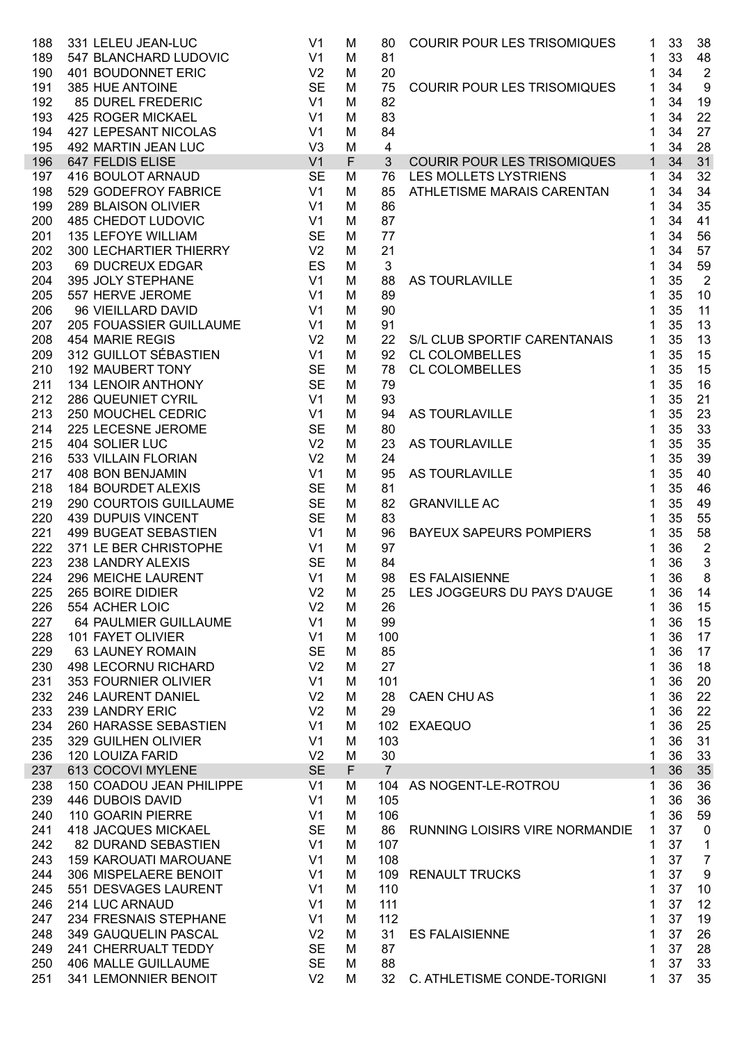| 188 | 331 LELEU JEAN-LUC           | V <sub>1</sub> | M | 80             | <b>COURIR POUR LES TRISOMIQUES</b> | 1            | 33 | 38               |
|-----|------------------------------|----------------|---|----------------|------------------------------------|--------------|----|------------------|
| 189 | 547 BLANCHARD LUDOVIC        | V <sub>1</sub> | M | 81             |                                    | 1            | 33 | 48               |
| 190 | 401 BOUDONNET ERIC           | V <sub>2</sub> | M | 20             |                                    | 1            | 34 | $\overline{2}$   |
| 191 | 385 HUE ANTOINE              | <b>SE</b>      | M | 75             | <b>COURIR POUR LES TRISOMIQUES</b> | 1            | 34 | 9                |
| 192 | 85 DUREL FREDERIC            | V1             | M | 82             |                                    | 1            | 34 | 19               |
| 193 | 425 ROGER MICKAEL            | V1             | M | 83             |                                    | 1            | 34 | 22               |
| 194 | <b>427 LEPESANT NICOLAS</b>  | V1             | M | 84             |                                    | 1            | 34 | 27               |
| 195 | 492 MARTIN JEAN LUC          | V <sub>3</sub> | M | 4              |                                    | 1            | 34 | 28               |
| 196 | 647 FELDIS ELISE             | V <sub>1</sub> | F | 3              | <b>COURIR POUR LES TRISOMIQUES</b> | $\mathbf{1}$ | 34 | 31               |
| 197 | 416 BOULOT ARNAUD            | <b>SE</b>      | M | 76             | LES MOLLETS LYSTRIENS              | 1            | 34 | 32               |
| 198 | 529 GODEFROY FABRICE         | V <sub>1</sub> | M | 85             | ATHLETISME MARAIS CARENTAN         | 1            | 34 | 34               |
| 199 | 289 BLAISON OLIVIER          | V <sub>1</sub> | M | 86             |                                    | 1            | 34 | 35               |
| 200 | <b>485 CHEDOT LUDOVIC</b>    | V1             | M | 87             |                                    | 1            | 34 | 41               |
| 201 | <b>135 LEFOYE WILLIAM</b>    | SE             | M | 77             |                                    |              | 34 | 56               |
| 202 | 300 LECHARTIER THIERRY       | V <sub>2</sub> | M | 21             |                                    |              | 34 | 57               |
| 203 | 69 DUCREUX EDGAR             | ES             | M | 3              |                                    | 1            | 34 | 59               |
| 204 | 395 JOLY STEPHANE            | V1             | M | 88             | AS TOURLAVILLE                     | 1            | 35 | $\overline{2}$   |
| 205 | 557 HERVE JEROME             | V1             | M | 89             |                                    | 1            | 35 | 10               |
| 206 | 96 VIEILLARD DAVID           | V1             | M | 90             |                                    |              | 35 | 11               |
| 207 | 205 FOUASSIER GUILLAUME      | V1             | M | 91             | "<br>"LAVILLE<br>"ORTIF CAPE"      | 1            | 35 | 13               |
| 208 | 454 MARIE REGIS              | V <sub>2</sub> | M | 22             | S/L CLUB SPORTIF CARENTANAIS       | 1            | 35 | 13               |
| 209 | 312 GUILLOT SÉBASTIEN V1     |                | M | 92             | <b>CL COLOMBELLES</b>              | 1            | 35 | 15               |
| 210 | <b>192 MAUBERT TONY</b>      | SE             | M | 78             | <b>CL COLOMBELLES</b>              | 1            | 35 | 15               |
| 211 | 134 LENOIR ANTHONY           | <b>SE</b>      | M | 79             |                                    | 1            | 35 | 16               |
| 212 | 286 QUEUNIET CYRIL           | V1             | M | 93             |                                    | 1            | 35 | 21               |
| 213 | 250 MOUCHEL CEDRIC           | V1             | M | 94             | AS TOURLAVILLE                     | 1            | 35 | 23               |
| 214 | 225 LECESNE JEROME           | <b>SE</b>      | M | 80             |                                    | 1            | 35 | 33               |
| 215 | 404 SOLIER LUC               | V <sub>2</sub> | M | 23             | AS TOURLAVILLE                     | 1            | 35 | 35               |
| 216 | 533 VILLAIN FLORIAN          | V <sub>2</sub> | M | 24             |                                    | 1            | 35 | 39               |
| 217 | 408 BON BENJAMIN             | V1             | M | 95             | AS TOURLAVILLE                     | 1            | 35 | 40               |
| 218 | <b>184 BOURDET ALEXIS</b>    | SE             | M | 81             |                                    | 1            | 35 | 46               |
| 219 | 290 COURTOIS GUILLAUME       | SE             | M | 82             | <b>GRANVILLE AC</b>                | 1            | 35 | 49               |
| 220 | <b>439 DUPUIS VINCENT</b>    | <b>SE</b>      | M | 83             |                                    | 1            | 35 | 55               |
| 221 | 499 BUGEAT SEBASTIEN         | V1             | M | 96             | <b>BAYEUX SAPEURS POMPIERS</b>     | 1            | 35 | 58               |
| 222 | 371 LE BER CHRISTOPHE        | V1             | M | 97             |                                    | 1            | 36 | $\overline{2}$   |
| 223 | 238 LANDRY ALEXIS            | <b>SE</b>      | M | 84             |                                    |              | 36 | 3                |
| 224 | 296 MEICHE LAURENT           | V <sub>1</sub> | M | 98             | <b>ES FALAISIENNE</b>              | 1            | 36 | 8                |
| 225 | 265 BOIRE DIDIER             | V <sub>2</sub> | M | 25             | LES JOGGEURS DU PAYS D'AUGE        |              | 36 | 14               |
| 226 | 554 ACHER LOIC               | V <sub>2</sub> | M | 26             |                                    | 1            | 36 | 15               |
| 227 | 64 PAULMIER GUILLAUME        | V <sub>1</sub> | M | 99             |                                    | 1            | 36 | 15               |
| 228 | 101 FAYET OLIVIER            | V <sub>1</sub> | M | 100            |                                    | 1            | 36 | 17               |
| 229 | <b>63 LAUNEY ROMAIN</b>      | <b>SE</b>      | M | 85             |                                    | 1            | 36 | 17               |
| 230 | <b>498 LECORNU RICHARD</b>   | V <sub>2</sub> | M | 27             |                                    | 1            | 36 | 18               |
| 231 | 353 FOURNIER OLIVIER         | V <sub>1</sub> | M | 101            |                                    | 1            | 36 | 20               |
| 232 | 246 LAURENT DANIEL           | V <sub>2</sub> | M | 28             | <b>CAEN CHU AS</b>                 | 1            | 36 | 22               |
| 233 | 239 LANDRY ERIC              | V <sub>2</sub> | M | 29             |                                    | 1            | 36 | 22               |
| 234 | 260 HARASSE SEBASTIEN        | V <sub>1</sub> | M | 102            | <b>EXAEQUO</b>                     | 1            | 36 | 25               |
| 235 | 329 GUILHEN OLIVIER          | V <sub>1</sub> | M | 103            |                                    | 1            | 36 | 31               |
| 236 | <b>120 LOUIZA FARID</b>      | V <sub>2</sub> | M | 30             |                                    | 1            | 36 | 33               |
| 237 | 613 COCOVI MYLENE            | <b>SE</b>      | F | $\overline{7}$ |                                    | 1            | 36 | 35               |
| 238 | 150 COADOU JEAN PHILIPPE     | V <sub>1</sub> | M | 104            | AS NOGENT-LE-ROTROU                | 1            | 36 | 36               |
| 239 | 446 DUBOIS DAVID             | V <sub>1</sub> | M | 105            |                                    | 1            | 36 | 36               |
| 240 | 110 GOARIN PIERRE            | V <sub>1</sub> | M | 106            |                                    | 1            | 36 | 59               |
| 241 | 418 JACQUES MICKAEL          | <b>SE</b>      | M | 86             | RUNNING LOISIRS VIRE NORMANDIE     | 1            | 37 | $\mathbf 0$      |
| 242 | 82 DURAND SEBASTIEN          | V <sub>1</sub> | M | 107            |                                    | 1            | 37 | 1                |
| 243 | <b>159 KAROUATI MAROUANE</b> | V <sub>1</sub> | M | 108            |                                    | 1            | 37 | $\overline{7}$   |
| 244 | 306 MISPELAERE BENOIT        | V <sub>1</sub> | M | 109            | <b>RENAULT TRUCKS</b>              | 1            | 37 | $\boldsymbol{9}$ |
| 245 | 551 DESVAGES LAURENT         | V <sub>1</sub> | M | 110            |                                    | 1            | 37 | 10               |
| 246 | 214 LUC ARNAUD               | V <sub>1</sub> | M | 111            |                                    | 1            | 37 | 12               |
| 247 | 234 FRESNAIS STEPHANE        | V <sub>1</sub> | M | 112            |                                    | 1            | 37 | 19               |
| 248 | 349 GAUQUELIN PASCAL         | V <sub>2</sub> | M | 31             | <b>ES FALAISIENNE</b>              | 1            | 37 | 26               |
| 249 | 241 CHERRUALT TEDDY          | <b>SE</b>      | M | 87             |                                    | 1            | 37 | 28               |
| 250 | 406 MALLE GUILLAUME          | <b>SE</b>      | M | 88             |                                    | 1            | 37 | 33               |
| 251 | 341 LEMONNIER BENOIT         | V <sub>2</sub> | M | 32             | C. ATHLETISME CONDE-TORIGNI        | 1            | 37 | 35               |
|     |                              |                |   |                |                                    |              |    |                  |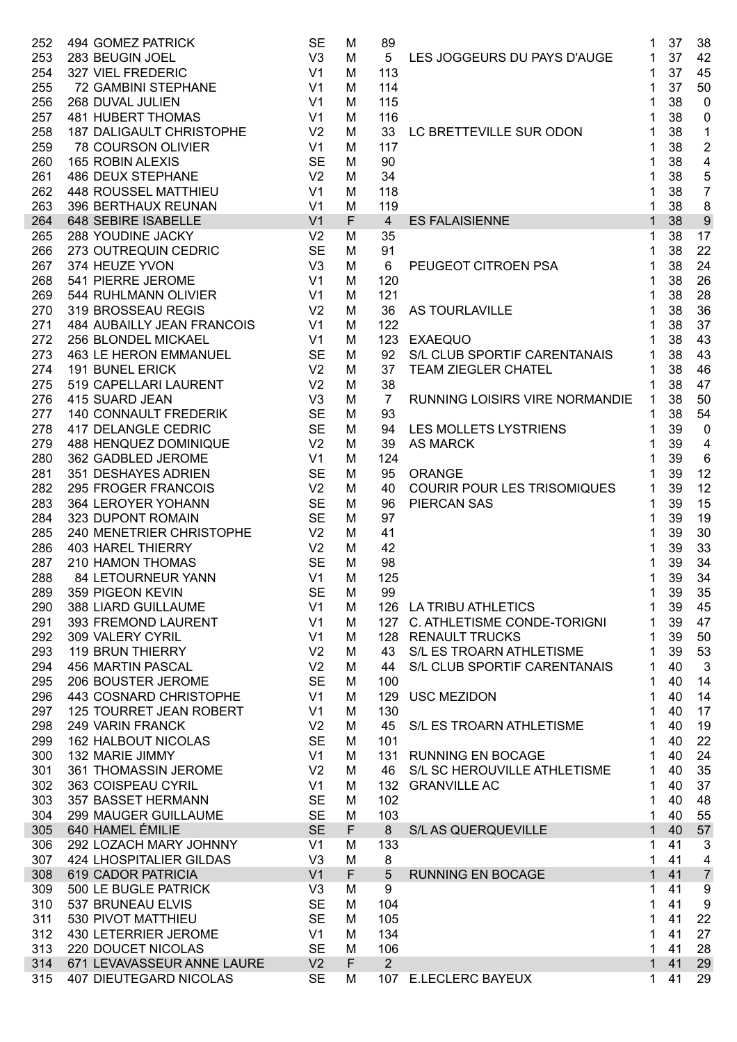| 252        | 494 GOMEZ PATRICK                                      | <b>SE</b>       | M           | 89             |                                                | 1            | 37       | 38                      |
|------------|--------------------------------------------------------|-----------------|-------------|----------------|------------------------------------------------|--------------|----------|-------------------------|
| 253        | 283 BEUGIN JOEL                                        | V <sub>3</sub>  | M           | 5              | LES JOGGEURS DU PAYS D'AUGE                    | 1            | 37       | 42                      |
| 254        | 327 VIEL FREDERIC                                      | V1              | M           | 113            |                                                |              | 37       | 45                      |
| 255        | 72 GAMBINI STEPHANE                                    | V1              | M           | 114            |                                                |              | 37       | 50                      |
| 256        | 268 DUVAL JULIEN                                       | V1              | M           | 115            |                                                |              | 38       | $\mathbf 0$             |
| 257        | <b>481 HUBERT THOMAS</b>                               | V1              | M           | 116            |                                                |              | 38       | $\pmb{0}$               |
| 258        | V2<br>187 DALIGAULT CHRISTOPHE                         |                 | M           | 33             | LC BRETTEVILLE SUR ODON                        | 1            | 38       | $\mathbf{1}$            |
| 259        | <b>78 COURSON OLIVIER</b>                              | V1              | M           | 117            |                                                |              | 38       | $\sqrt{2}$              |
| 260        | 165 ROBIN ALEXIS                                       | <b>SE</b>       | M           | 90             |                                                |              | 38       | $\overline{\mathbf{4}}$ |
| 261        | 486 DEUX STEPHANE                                      | V <sub>2</sub>  | M           | 34             |                                                |              | 38       | 5                       |
| 262        | 448 ROUSSEL MATTHIEU                                   | V1              | M           | 118            |                                                | 1            | 38       | $\overline{7}$          |
| 263        | V1<br>396 BERTHAUX REUNAN                              |                 | M           | 119            |                                                | 1            | 38       | $\bf 8$                 |
| 264        | 648 SEBIRE ISABELLE                                    |                 | $\mathsf F$ | $\overline{4}$ | <b>ES FALAISIENNE</b>                          | $\mathbf{1}$ | 38       | $\boldsymbol{9}$        |
| 265        | $\sqrt{2}$<br>288 YOUDINE JACKY                        |                 | M           | 35             |                                                | 1            | 38       | 17                      |
| 266        | 273 OUTREQUIN CEDRIC                                   | <b>SE</b>       | M           | 91             |                                                | 1            | 38       | 22                      |
| 267        | 374 HEUZE YVON                                         | V3              | M           | 6              | PEUGEOT CITROEN PSA                            | 1            | 38       | 24                      |
| 268        | 541 PIERRE JEROME                                      | V1              | M           | 120            |                                                | 1            | 38       | 26                      |
| 269        | 544 RUHLMANN OLIVIER                                   | V1              | M           | 121            |                                                | 1            | 38       | 28                      |
| 270        | 319 BROSSEAU REGIS                                     | V <sub>2</sub>  | M           | 36             | AS TOURLAVILLE                                 | 1            | 38       | 36                      |
| 271        | 484 AUBAILLY JEAN FRANCOIS V1                          |                 | M           | 122            |                                                |              | 38       | 37                      |
| 272        | 256 BLONDEL MICKAEL                                    | V1<br><b>SE</b> | M           | 123            | <b>EXAEQUO</b><br>S/L CLUB SPORTIF CARENTANAIS | 1            | 38<br>38 | 43                      |
| 273<br>274 | <b>463 LE HERON EMMANUEL</b><br><b>191 BUNEL ERICK</b> | V <sub>2</sub>  | M<br>M      | 92             | <b>TEAM ZIEGLER CHATEL</b>                     | 1            | 38       | 43<br>46                |
| 275        | 519 CAPELLARI LAURENT                                  | V <sub>2</sub>  | M           | 37<br>38       |                                                | 1<br>1       | 38       | 47                      |
| 276        | 415 SUARD JEAN                                         | V3              | M           | $\overline{7}$ | RUNNING LOISIRS VIRE NORMANDIE                 | 1            | 38       | 50                      |
| 277        | <b>140 CONNAULT FREDERIK</b>                           | <b>SE</b>       | M           | 93             |                                                | 1            | 38       | 54                      |
| 278        | 417 DELANGLE CEDRIC                                    | <b>SE</b>       | M           | 94             | LES MOLLETS LYSTRIENS                          | 1            | 39       | $\mathbf 0$             |
| 279        | 488 HENQUEZ DOMINIQUE                                  | V <sub>2</sub>  | M           | 39             | <b>AS MARCK</b>                                |              | 39       | $\overline{4}$          |
| 280        | 362 GADBLED JEROME                                     | V1              | M           | 124            |                                                |              | 39       | $6\phantom{1}6$         |
| 281        | 351 DESHAYES ADRIEN                                    | <b>SE</b>       | M           | 95             | <b>ORANGE</b>                                  |              | 39       | 12                      |
| 282        | 295 FROGER FRANCOIS                                    | V <sub>2</sub>  | M           | 40             | <b>COURIR POUR LES TRISOMIQUES</b>             | 1            | 39       | 12                      |
| 283        | <b>SE</b><br>364 LEROYER YOHANN                        |                 | M           | 96             | <b>PIERCAN SAS</b>                             |              | 39       | 15                      |
| 284        | 323 DUPONT ROMAIN                                      | <b>SE</b>       | M           | 97             |                                                |              | 39       | 19                      |
| 285        | V2<br>240 MENETRIER CHRISTOPHE                         |                 | M           | 41             |                                                |              | 39       | 30                      |
| 286        | <b>403 HAREL THIERRY</b>                               | V2              | M           | 42             |                                                |              | 39       | 33                      |
| 287        | 210 HAMON THOMAS                                       | SE SE           | M           | 98             |                                                |              | 39       | 34                      |
| 288        | 84 LETOURNEUR YANN                                     | V <sub>1</sub>  | M           | 125            |                                                | 1            | 39       | 34                      |
|            | 289 359 PIGEON KEVIN                                   | SE M            |             | 99             |                                                | 1            | 39       | 35                      |
| 290        | 388 LIARD GUILLAUME                                    | V <sub>1</sub>  | M           | 126            | LA TRIBU ATHLETICS                             | 1            | 39       | 45                      |
| 291        | 393 FREMOND LAURENT                                    | V <sub>1</sub>  | M           | 127            | C. ATHLETISME CONDE-TORIGNI                    | 1            | 39       | 47                      |
| 292        | 309 VALERY CYRIL                                       | V <sub>1</sub>  | M           | 128            | <b>RENAULT TRUCKS</b>                          | 1            | 39       | 50                      |
| 293        | <b>119 BRUN THIERRY</b>                                | V <sub>2</sub>  | M           | 43             | S/L ES TROARN ATHLETISME                       | 1            | 39       | 53                      |
| 294        | 456 MARTIN PASCAL                                      | V <sub>2</sub>  | M           | 44             | S/L CLUB SPORTIF CARENTANAIS                   | 1            | 40       | 3                       |
| 295        | 206 BOUSTER JEROME                                     | <b>SE</b>       | M           | 100            |                                                | 1            | 40       | 14                      |
| 296        | 443 COSNARD CHRISTOPHE                                 | V <sub>1</sub>  | M           | 129            | <b>USC MEZIDON</b>                             | 1            | 40       | 14                      |
| 297        | 125 TOURRET JEAN ROBERT                                | V <sub>1</sub>  | M           | 130            |                                                | 1            | 40       | 17                      |
| 298        | 249 VARIN FRANCK                                       | V <sub>2</sub>  | M           | 45             | S/L ES TROARN ATHLETISME                       | 1            | 40       | 19                      |
| 299        | <b>162 HALBOUT NICOLAS</b>                             | <b>SE</b>       | M           | 101            |                                                | 1            | 40       | 22                      |
| 300        | 132 MARIE JIMMY                                        | V <sub>1</sub>  | M           | 131            | <b>RUNNING EN BOCAGE</b>                       | 1            | 40       | 24                      |
| 301        | 361 THOMASSIN JEROME                                   | V <sub>2</sub>  | M           | 46             | S/L SC HEROUVILLE ATHLETISME                   | 1            | 40       | 35                      |
| 302        | 363 COISPEAU CYRIL                                     | V <sub>1</sub>  | M           | 132            | <b>GRANVILLE AC</b>                            | 1            | 40       | 37                      |
| 303        | 357 BASSET HERMANN                                     | <b>SE</b>       | M           | 102            |                                                | 1            | 40       | 48                      |
| 304        | 299 MAUGER GUILLAUME                                   | <b>SE</b>       | M           | 103            |                                                | 1            | 40       | 55                      |
| 305        | 640 HAMEL ÉMILIE                                       | <b>SE</b>       | F           | 8              | S/L AS QUERQUEVILLE                            | 1            | 40       | 57                      |
| 306        | 292 LOZACH MARY JOHNNY                                 | V <sub>1</sub>  | M           | 133            |                                                | 1            | 41       | 3                       |
| 307        | 424 LHOSPITALIER GILDAS                                | V <sub>3</sub>  | M           | 8              |                                                | 1            | 41       | $\overline{\mathbf{4}}$ |
| 308        | 619 CADOR PATRICIA                                     | V <sub>1</sub>  | F           | 5              | <b>RUNNING EN BOCAGE</b>                       | 1            | 41       | $\overline{7}$          |
| 309        | 500 LE BUGLE PATRICK                                   | V <sub>3</sub>  | M           | 9              |                                                | 1            | 41       | $\boldsymbol{9}$        |
| 310        | 537 BRUNEAU ELVIS                                      | <b>SE</b>       | M           | 104            |                                                | 1            | 41       | 9                       |
| 311        | 530 PIVOT MATTHIEU                                     | <b>SE</b>       | M           | 105            |                                                | 1            | 41       | 22                      |
| 312        | 430 LETERRIER JEROME                                   | V <sub>1</sub>  | M           | 134            |                                                | 1            | 41       | 27                      |
| 313        | 220 DOUCET NICOLAS                                     | <b>SE</b>       | M           | 106            |                                                | 1            | 41       | 28                      |
| 314        | 671 LEVAVASSEUR ANNE LAURE                             | V <sub>2</sub>  | F           | 2 <sup>2</sup> |                                                | $\mathbf{1}$ | 41       | 29                      |
| 315        | <b>407 DIEUTEGARD NICOLAS</b>                          | <b>SE</b>       | M           | 107            | <b>E.LECLERC BAYEUX</b>                        | 1            | 41       | 29                      |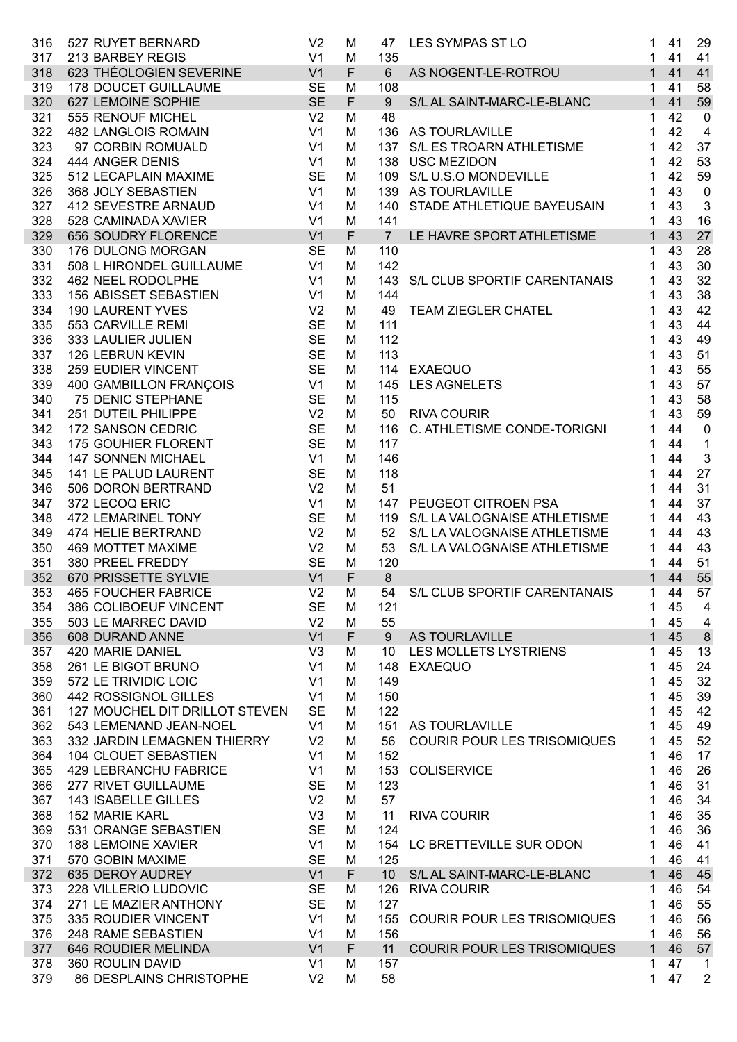| 316 | 527 RUYET BERNARD              | V <sub>2</sub> | M           | 47              | LES SYMPAS ST LO                   | 41<br>1            | 29             |
|-----|--------------------------------|----------------|-------------|-----------------|------------------------------------|--------------------|----------------|
| 317 | 213 BARBEY REGIS               | V <sub>1</sub> | M           | 135             |                                    | 41<br>1            | 41             |
| 318 | 623 THÉOLOGIEN SEVERINE        | V <sub>1</sub> | $\mathsf F$ | $6\phantom{1}$  | AS NOGENT-LE-ROTROU                | 41<br>$\mathbf{1}$ | 41             |
| 319 | <b>178 DOUCET GUILLAUME</b>    | <b>SE</b>      | M           | 108             |                                    | 41<br>$\mathbf{1}$ | 58             |
| 320 | 627 LEMOINE SOPHIE             | <b>SE</b>      | $\mathsf F$ | 9               | S/L AL SAINT-MARC-LE-BLANC         | 41<br>1            | 59             |
| 321 | 555 RENOUF MICHEL              | V <sub>2</sub> | M           | 48              |                                    | 42<br>1            | $\mathbf 0$    |
| 322 | <b>482 LANGLOIS ROMAIN</b>     | V <sub>1</sub> | M           |                 | 136 AS TOURLAVILLE                 | 42<br>1            | $\overline{4}$ |
| 323 | 97 CORBIN ROMUALD              | V <sub>1</sub> | M           |                 | 137 S/L ES TROARN ATHLETISME       | 42<br>1            | 37             |
| 324 | 444 ANGER DENIS                | V <sub>1</sub> | M           |                 | 138 USC MEZIDON                    | 42<br>1            | 53             |
| 325 | 512 LECAPLAIN MAXIME           | <b>SE</b>      | M           |                 | 109 S/L U.S.O MONDEVILLE           | 42<br>1            | 59             |
| 326 | 368 JOLY SEBASTIEN             | V <sub>1</sub> | M           |                 | 139 AS TOURLAVILLE                 | 43                 | $\pmb{0}$      |
| 327 | 412 SEVESTRE ARNAUD            | V <sub>1</sub> | M           |                 | 140 STADE ATHLETIQUE BAYEUSAIN     | 43<br>1            | $\mathbf{3}$   |
| 328 | 528 CAMINADA XAVIER            | V <sub>1</sub> | M           | 141             |                                    | 43<br>1            | 16             |
| 329 | 656 SOUDRY FLORENCE            | V <sub>1</sub> | F           | $\overline{7}$  | LE HAVRE SPORT ATHLETISME          | 43<br>$\mathbf{1}$ | 27             |
| 330 | 176 DULONG MORGAN              | <b>SE</b>      | M           | 110             |                                    | 43<br>1            | 28             |
| 331 | 508 L HIRONDEL GUILLAUME       | V <sub>1</sub> | M           | 142             |                                    | 43                 | 30             |
| 332 | 462 NEEL RODOLPHE              | V <sub>1</sub> | M           | 143             | S/L CLUB SPORTIF CARENTANAIS       | 43<br>1            | 32             |
| 333 | 156 ABISSET SEBASTIEN          | V <sub>1</sub> | M           | 144             |                                    | 43                 | 38             |
| 334 | <b>190 LAURENT YVES</b>        | V <sub>2</sub> | M           | 49              | <b>TEAM ZIEGLER CHATEL</b>         | 43                 | 42             |
| 335 | 553 CARVILLE REMI              | <b>SE</b>      | M           | 111             |                                    | 43                 | 44             |
| 336 | 333 LAULIER JULIEN             | <b>SE</b>      | M           | 112             |                                    | 43                 | 49             |
|     | 126 LEBRUN KEVIN               | <b>SE</b>      |             | 113             |                                    |                    |                |
| 337 |                                |                | M           |                 |                                    | 43                 | 51             |
| 338 | 259 EUDIER VINCENT             | <b>SE</b>      | M           |                 | 114 EXAEQUO                        | 43                 | 55             |
| 339 | 400 GAMBILLON FRANÇOIS         | V <sub>1</sub> | M           |                 | 145 LES AGNELETS                   | 43                 | 57             |
| 340 | <b>75 DENIC STEPHANE</b>       | <b>SE</b>      | M           | 115             |                                    | 43                 | 58             |
| 341 | 251 DUTEIL PHILIPPE            | V <sub>2</sub> | M           | 50              | <b>RIVA COURIR</b>                 | 43                 | 59             |
| 342 | 172 SANSON CEDRIC              | <b>SE</b>      | M           | 116             | C. ATHLETISME CONDE-TORIGNI        | 44                 | $\pmb{0}$      |
| 343 | 175 GOUHIER FLORENT            | <b>SE</b>      | M           | 117             |                                    | 44                 | $\mathbf{1}$   |
| 344 | <b>147 SONNEN MICHAEL</b>      | V <sub>1</sub> | M           | 146             |                                    | 44                 | $\mathbf{3}$   |
| 345 | 141 LE PALUD LAURENT           | <b>SE</b>      | M           | 118             |                                    | 44                 | 27             |
| 346 | 506 DORON BERTRAND             | V <sub>2</sub> | M           | 51              |                                    | 44                 | 31             |
| 347 | 372 LECOQ ERIC                 | V <sub>1</sub> | M           |                 | 147 PEUGEOT CITROEN PSA            | 44<br>1            | 37             |
| 348 | 472 LEMARINEL TONY             | <b>SE</b>      | M           |                 | 119 S/L LA VALOGNAISE ATHLETISME   | 44<br>1            | 43             |
| 349 | 474 HELIE BERTRAND             | V <sub>2</sub> | M           |                 | 52 S/L LA VALOGNAISE ATHLETISME    | 44<br>1            | 43             |
| 350 | <b>469 MOTTET MAXIME</b>       | V <sub>2</sub> | M           | 53              | S/L LA VALOGNAISE ATHLETISME       | 44<br>1            | 43             |
| 351 | 380 PREEL FREDDY               | <b>SE</b>      | М           | 120             |                                    | 44                 | 51             |
| 352 | 670 PRISSETTE SYLVIE           | V <sub>1</sub> | F           | $\bf 8$         |                                    | 44<br>$\mathbf{1}$ | 55             |
|     | 353 465 FOUCHER FABRICE        | V2             | M           |                 | 54 S/L CLUB SPORTIF CARENTANAIS    | 1 44 57            |                |
| 354 | 386 COLIBOEUF VINCENT          | <b>SE</b>      | м           | 121             |                                    | 45<br>1            | 4              |
| 355 | 503 LE MARREC DAVID            | V <sub>2</sub> | М           | 55              |                                    | 45<br>1            | 4              |
| 356 | 608 DURAND ANNE                | V <sub>1</sub> | F           | 9               | AS TOURLAVILLE                     | 45<br>1            | $\delta$       |
| 357 | 420 MARIE DANIEL               | V <sub>3</sub> | м           | 10              | LES MOLLETS LYSTRIENS              | 45<br>1            | 13             |
| 358 | 261 LE BIGOT BRUNO             | V <sub>1</sub> | М           | 148             | <b>EXAEQUO</b>                     | 45<br>1            | 24             |
| 359 | 572 LE TRIVIDIC LOIC           | V <sub>1</sub> | М           | 149             |                                    | 45<br>1            | 32             |
| 360 | 442 ROSSIGNOL GILLES           | V <sub>1</sub> | М           | 150             |                                    | 45<br>1            | 39             |
| 361 | 127 MOUCHEL DIT DRILLOT STEVEN | <b>SE</b>      | М           | 122             |                                    | 45<br>1            | 42             |
| 362 | 543 LEMENAND JEAN-NOEL         | V <sub>1</sub> | М           | 151             | AS TOURLAVILLE                     | 45<br>1            | 49             |
| 363 | 332 JARDIN LEMAGNEN THIERRY    | V <sub>2</sub> | M           | 56              | <b>COURIR POUR LES TRISOMIQUES</b> | 45<br>1            | 52             |
| 364 | 104 CLOUET SEBASTIEN           | V <sub>1</sub> | М           | 152             |                                    | 46<br>1            | 17             |
| 365 | 429 LEBRANCHU FABRICE          | V <sub>1</sub> | М           | 153             | <b>COLISERVICE</b>                 | 46<br>1            | 26             |
| 366 | 277 RIVET GUILLAUME            | <b>SE</b>      | М           | 123             |                                    | 46<br>1            | 31             |
| 367 | 143 ISABELLE GILLES            | V <sub>2</sub> | М           | 57              |                                    | 46<br>1            | 34             |
| 368 | <b>152 MARIE KARL</b>          | V <sub>3</sub> | М           | 11              | <b>RIVA COURIR</b>                 | 46<br>1            | 35             |
| 369 | 531 ORANGE SEBASTIEN           | <b>SE</b>      | М           | 124             |                                    | 46<br>1            | 36             |
| 370 | <b>188 LEMOINE XAVIER</b>      | V <sub>1</sub> | М           | 154             | LC BRETTEVILLE SUR ODON            | 46<br>1            | 41             |
|     |                                | <b>SE</b>      |             |                 |                                    |                    |                |
| 371 | 570 GOBIN MAXIME               |                | М           | 125             |                                    | 46<br>1            | 41             |
| 372 | 635 DEROY AUDREY               | V <sub>1</sub> | F           | 10 <sup>°</sup> | S/L AL SAINT-MARC-LE-BLANC         | 1<br>46            | 45             |
| 373 | 228 VILLERIO LUDOVIC           | <b>SE</b>      | М           | 126             | <b>RIVA COURIR</b>                 | 46<br>1            | 54             |
| 374 | 271 LE MAZIER ANTHONY          | <b>SE</b>      | м           | 127             |                                    | 46<br>1            | 55             |
| 375 | 335 ROUDIER VINCENT            | V <sub>1</sub> | М           | 155             | <b>COURIR POUR LES TRISOMIQUES</b> | 46<br>1            | 56             |
| 376 | 248 RAME SEBASTIEN             | V <sub>1</sub> | М           | 156             |                                    | 46<br>1            | 56             |
| 377 | 646 ROUDIER MELINDA            | V <sub>1</sub> | F           | 11              | <b>COURIR POUR LES TRISOMIQUES</b> | $\mathbf{1}$<br>46 | 57             |
| 378 | 360 ROULIN DAVID               | V <sub>1</sub> | м           | 157             |                                    | 47<br>1            | $\mathbf{1}$   |
| 379 | 86 DESPLAINS CHRISTOPHE        | V <sub>2</sub> | M           | 58              |                                    | 47<br>1            | $\overline{2}$ |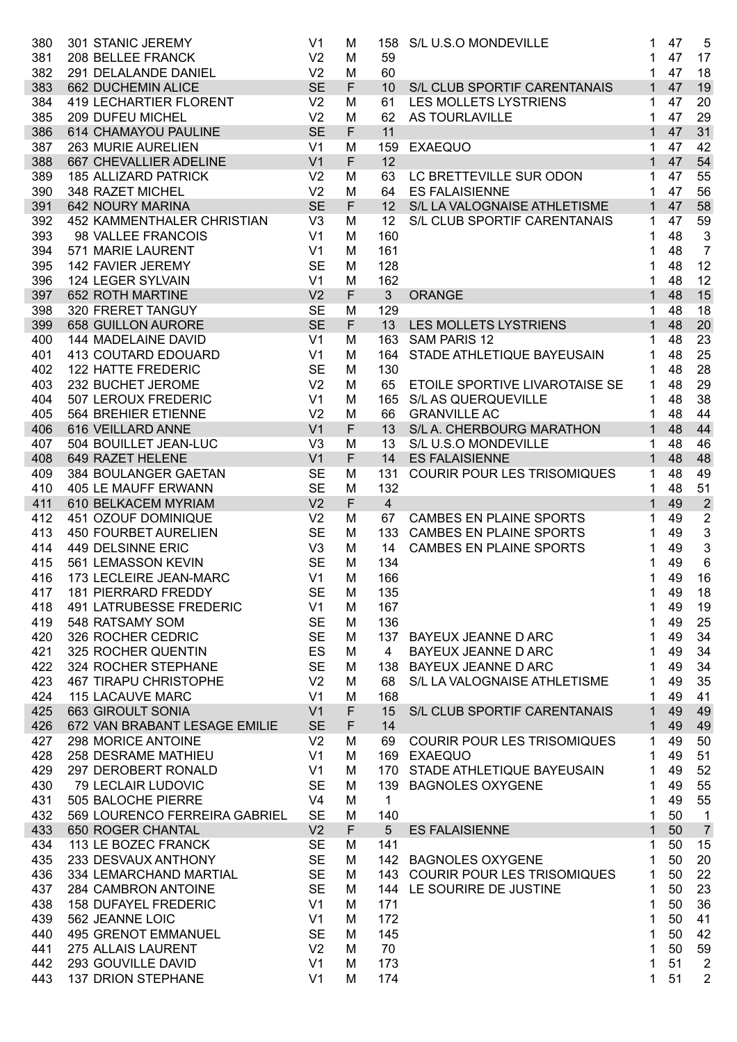| 380 | 301 STANIC JEREMY              | V <sub>1</sub> | M           |                 | 158 S/L U.S.O MONDEVILLE           | 1            | 47 | 5                         |
|-----|--------------------------------|----------------|-------------|-----------------|------------------------------------|--------------|----|---------------------------|
| 381 | 208 BELLEE FRANCK              | V <sub>2</sub> | M           | 59              |                                    | 1            | 47 | 17                        |
| 382 | 291 DELALANDE DANIEL           | V <sub>2</sub> | M           | 60              |                                    | 1            | 47 | 18                        |
| 383 | 662 DUCHEMIN ALICE             | <b>SE</b>      | F           | 10 <sup>°</sup> | S/L CLUB SPORTIF CARENTANAIS       | $\mathbf{1}$ | 47 | 19                        |
| 384 | <b>419 LECHARTIER FLORENT</b>  | V <sub>2</sub> | M           | 61              | LES MOLLETS LYSTRIENS              | 1            | 47 | 20                        |
| 385 | 209 DUFEU MICHEL               | V <sub>2</sub> | M           | 62              | AS TOURLAVILLE                     | $\mathbf 1$  | 47 | 29                        |
| 386 | 614 CHAMAYOU PAULINE           | <b>SE</b>      | F           | 11              |                                    | $\mathbf{1}$ | 47 | 31                        |
| 387 | 263 MURIE AURELIEN             | V <sub>1</sub> | M           | 159             | <b>EXAEQUO</b>                     | 1            | 47 | 42                        |
| 388 | 667 CHEVALLIER ADELINE         | V <sub>1</sub> | F           | 12              |                                    | $\mathbf{1}$ | 47 | 54                        |
| 389 | <b>185 ALLIZARD PATRICK</b>    | V <sub>2</sub> | M           | 63              | LC BRETTEVILLE SUR ODON            | 1            | 47 | 55                        |
| 390 | 348 RAZET MICHEL               | V <sub>2</sub> | M           | 64              | <b>ES FALAISIENNE</b>              | 1            | 47 | 56                        |
| 391 | 642 NOURY MARINA               | <b>SE</b>      | $\mathsf F$ | 12 <sup>2</sup> | S/L LA VALOGNAISE ATHLETISME       | $\mathbf{1}$ | 47 | 58                        |
| 392 | 452 KAMMENTHALER CHRISTIAN     | V3             | M           | 12              | S/L CLUB SPORTIF CARENTANAIS       | 1            | 47 | 59                        |
|     |                                | V <sub>1</sub> |             |                 |                                    |              | 48 |                           |
| 393 | 98 VALLEE FRANCOIS             |                | M           | 160             |                                    | 1            |    | $\mathbf{3}$              |
| 394 | 571 MARIE LAURENT              | V <sub>1</sub> | M           | 161             |                                    | 1            | 48 | $\overline{7}$            |
| 395 | 142 FAVIER JEREMY              | <b>SE</b>      | M           | 128             |                                    | 1            | 48 | 12                        |
| 396 | <b>124 LEGER SYLVAIN</b>       | V <sub>1</sub> | M           | 162             |                                    | 1            | 48 | 12                        |
| 397 | 652 ROTH MARTINE               | V <sub>2</sub> | F           | 3 <sup>1</sup>  | <b>ORANGE</b>                      | $\mathbf{1}$ | 48 | 15                        |
| 398 | 320 FRERET TANGUY              | <b>SE</b>      | M           | 129             |                                    | 1            | 48 | 18                        |
| 399 | <b>658 GUILLON AURORE</b>      | <b>SE</b>      | $\mathsf F$ | 13              | <b>LES MOLLETS LYSTRIENS</b>       | $\mathbf{1}$ | 48 | 20                        |
| 400 | 144 MADELAINE DAVID            | V <sub>1</sub> | M           | 163             | <b>SAM PARIS 12</b>                | 1            | 48 | 23                        |
| 401 | <b>413 COUTARD EDOUARD</b>     | V <sub>1</sub> | M           | 164             | STADE ATHLETIQUE BAYEUSAIN         | 1            | 48 | 25                        |
| 402 | 122 HATTE FREDERIC             | <b>SE</b>      | M           | 130             |                                    | 1            | 48 | 28                        |
| 403 | 232 BUCHET JEROME              | V <sub>2</sub> | M           | 65              | ETOILE SPORTIVE LIVAROTAISE SE     | 1            | 48 | 29                        |
| 404 | 507 LEROUX FREDERIC            | V <sub>1</sub> | M           |                 | 165 S/L AS QUERQUEVILLE            | 1            | 48 | 38                        |
| 405 | 564 BREHIER ETIENNE            | V <sub>2</sub> | M           | 66              | <b>GRANVILLE AC</b>                | 1            | 48 | 44                        |
| 406 | 616 VEILLARD ANNE              | V <sub>1</sub> | F           | 13              | S/L A. CHERBOURG MARATHON          | $\mathbf{1}$ | 48 | 44                        |
| 407 | 504 BOUILLET JEAN-LUC          | V <sub>3</sub> | M           | 13              | S/L U.S.O MONDEVILLE               | 1            | 48 | 46                        |
| 408 | 649 RAZET HELENE               | V <sub>1</sub> | F           | 14              | <b>ES FALAISIENNE</b>              | $\mathbf{1}$ | 48 | 48                        |
| 409 | 384 BOULANGER GAETAN           | <b>SE</b>      | M           | 131             | <b>COURIR POUR LES TRISOMIQUES</b> | 1            | 48 | 49                        |
| 410 | 405 LE MAUFF ERWANN            | <b>SE</b>      | M           | 132             |                                    | 1            | 48 | 51                        |
| 411 | 610 BELKACEM MYRIAM            | V <sub>2</sub> | F           | $\overline{4}$  |                                    | $\mathbf{1}$ | 49 | $\overline{2}$            |
|     | 451 OZOUF DOMINIQUE            | V <sub>2</sub> |             |                 | <b>CAMBES EN PLAINE SPORTS</b>     |              | 49 |                           |
| 412 |                                |                | M           | 67              |                                    | 1            |    | $\boldsymbol{2}$          |
| 413 | <b>450 FOURBET AURELIEN</b>    | <b>SE</b>      | M           | 133             | <b>CAMBES EN PLAINE SPORTS</b>     | 1            | 49 | $\ensuremath{\mathsf{3}}$ |
| 414 | 449 DELSINNE ERIC              | V <sub>3</sub> | M           | 14              | <b>CAMBES EN PLAINE SPORTS</b>     | 1            | 49 | $\mathbf{3}$              |
| 415 | 561 LEMASSON KEVIN             | <b>SE</b>      | M           | 134             |                                    |              | 49 | $6\phantom{1}6$           |
| 416 | 173 LECLEIRE JEAN-MARC         | V <sub>1</sub> | M           | 166             |                                    |              | 49 | 16                        |
|     | 417 181 PIERRARD FREDDY        | <b>SE</b>      | M           | 135             |                                    | 1            | 49 | 18                        |
| 418 | <b>491 LATRUBESSE FREDERIC</b> | V <sub>1</sub> | M           | 167             |                                    | 1            | 49 | 19                        |
| 419 | 548 RATSAMY SOM                | <b>SE</b>      | M           | 136             |                                    | 1            | 49 | 25                        |
| 420 | 326 ROCHER CEDRIC              | <b>SE</b>      | M           | 137             | BAYEUX JEANNE D ARC                | 1            | 49 | 34                        |
| 421 | 325 ROCHER QUENTIN             | ES             | M           | $\overline{4}$  | BAYEUX JEANNE D ARC                | 1            | 49 | 34                        |
| 422 | 324 ROCHER STEPHANE            | <b>SE</b>      | M           |                 | 138 BAYEUX JEANNE D ARC            | 1            | 49 | 34                        |
| 423 | <b>467 TIRAPU CHRISTOPHE</b>   | V <sub>2</sub> | M           | 68              | S/L LA VALOGNAISE ATHLETISME       | 1            | 49 | 35                        |
| 424 | <b>115 LACAUVE MARC</b>        | V <sub>1</sub> | M           | 168             |                                    | 1            | 49 | 41                        |
| 425 | 663 GIROULT SONIA              | V <sub>1</sub> | $\mathsf F$ | 15              | S/L CLUB SPORTIF CARENTANAIS       | 1            | 49 | 49                        |
| 426 | 672 VAN BRABANT LESAGE EMILIE  | <b>SE</b>      | F           | 14              |                                    | 1            | 49 | 49                        |
| 427 | 298 MORICE ANTOINE             | V <sub>2</sub> | M           | 69              | <b>COURIR POUR LES TRISOMIQUES</b> | 1            | 49 | 50                        |
| 428 | 258 DESRAME MATHIEU            | V <sub>1</sub> | M           |                 | 169 EXAEQUO                        | 1            | 49 | 51                        |
| 429 | 297 DEROBERT RONALD            | V <sub>1</sub> | M           |                 | 170 STADE ATHLETIQUE BAYEUSAIN     | 1            | 49 | 52                        |
| 430 | <b>79 LECLAIR LUDOVIC</b>      | <b>SE</b>      | M           | 139             | <b>BAGNOLES OXYGENE</b>            | 1            | 49 | 55                        |
| 431 | 505 BALOCHE PIERRE             | V <sub>4</sub> | M           | $\mathbf{1}$    |                                    | 1            | 49 | 55                        |
|     |                                |                |             |                 |                                    |              |    |                           |
| 432 | 569 LOURENCO FERREIRA GABRIEL  | <b>SE</b>      | M           | 140             |                                    | 1            | 50 | 1                         |
| 433 | 650 ROGER CHANTAL              | V <sub>2</sub> | F           | 5 <sup>5</sup>  | <b>ES FALAISIENNE</b>              | $\mathbf{1}$ | 50 | $\overline{7}$            |
| 434 | 113 LE BOZEC FRANCK            | <b>SE</b>      | м           | 141             |                                    | 1            | 50 | 15                        |
| 435 | 233 DESVAUX ANTHONY            | <b>SE</b>      | M           |                 | 142 BAGNOLES OXYGENE               | 1            | 50 | 20                        |
| 436 | 334 LEMARCHAND MARTIAL         | <b>SE</b>      | M           |                 | 143 COURIR POUR LES TRISOMIQUES    | 1            | 50 | 22                        |
| 437 | 284 CAMBRON ANTOINE            | <b>SE</b>      | M           | 144             | LE SOURIRE DE JUSTINE              | 1            | 50 | 23                        |
| 438 | <b>158 DUFAYEL FREDERIC</b>    | V <sub>1</sub> | M           | 171             |                                    | 1            | 50 | 36                        |
| 439 | 562 JEANNE LOIC                | V <sub>1</sub> | M           | 172             |                                    | 1            | 50 | 41                        |
| 440 | <b>495 GRENOT EMMANUEL</b>     | <b>SE</b>      | M           | 145             |                                    | 1            | 50 | 42                        |
| 441 | 275 ALLAIS LAURENT             | V <sub>2</sub> | M           | 70              |                                    | 1            | 50 | 59                        |
| 442 | 293 GOUVILLE DAVID             | V <sub>1</sub> | M           | 173             |                                    | 1            | 51 | $\overline{2}$            |
| 443 | <b>137 DRION STEPHANE</b>      | V <sub>1</sub> | M           | 174             |                                    | $\mathbf{1}$ | 51 | $\overline{2}$            |
|     |                                |                |             |                 |                                    |              |    |                           |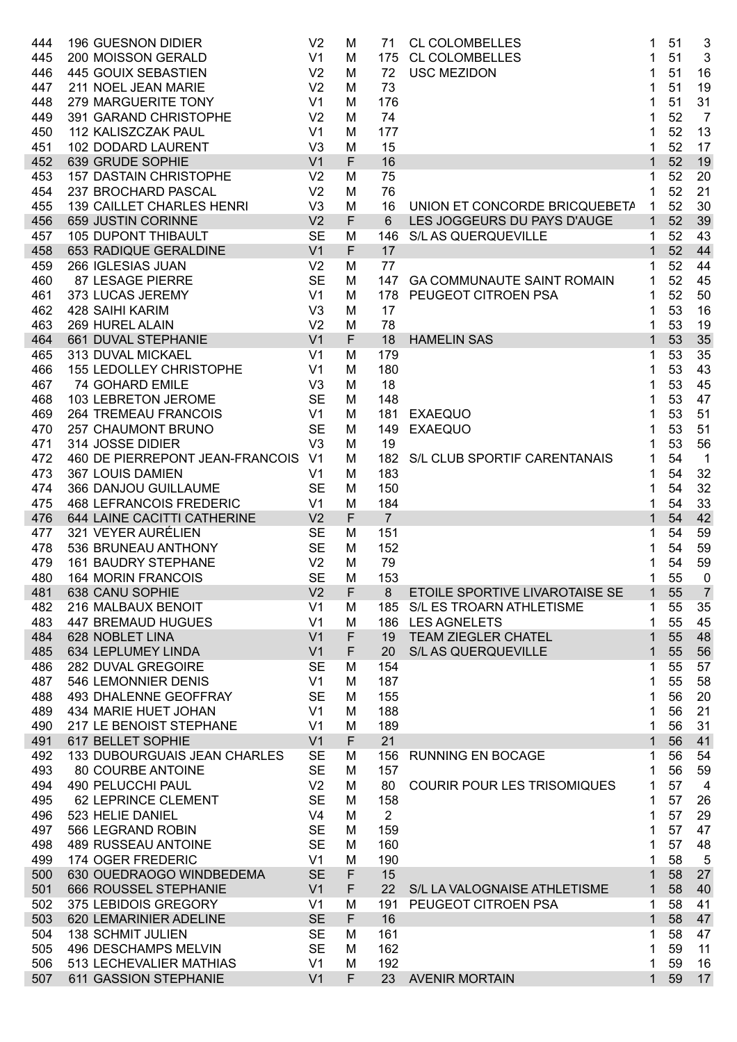| 444 | <b>196 GUESNON DIDIER</b>       | V <sub>2</sub> | M      | 71             | <b>CL COLOMBELLES</b>              | 1              | 51 | 3              |
|-----|---------------------------------|----------------|--------|----------------|------------------------------------|----------------|----|----------------|
| 445 | 200 MOISSON GERALD              | V <sub>1</sub> | M      | 175            | <b>CL COLOMBELLES</b>              | 1              | 51 | 3              |
| 446 | 445 GOUIX SEBASTIEN             | V <sub>2</sub> | M      | 72             | <b>USC MEZIDON</b>                 | 1              | 51 | 16             |
| 447 | 211 NOEL JEAN MARIE             | V <sub>2</sub> | M      | 73             |                                    | 1              | 51 | 19             |
| 448 | 279 MARGUERITE TONY             | V <sub>1</sub> | M      | 176            |                                    | 1              | 51 | 31             |
| 449 | 391 GARAND CHRISTOPHE           | V <sub>2</sub> | M      | 74             |                                    | 1              | 52 | $\overline{7}$ |
| 450 | 112 KALISZCZAK PAUL             | V <sub>1</sub> | M      | 177            |                                    | 1              | 52 | 13             |
| 451 | 102 DODARD LAURENT              | V <sub>3</sub> | M      | 15             |                                    | 1              | 52 | 17             |
| 452 | 639 GRUDE SOPHIE                | V <sub>1</sub> | F      | 16             |                                    | $\mathbf{1}$   | 52 | 19             |
| 453 | <b>157 DASTAIN CHRISTOPHE</b>   | V <sub>2</sub> | M      | 75             |                                    | 1              | 52 | 20             |
| 454 | 237 BROCHARD PASCAL             | V <sub>2</sub> | M      | 76             |                                    | 1              | 52 | 21             |
| 455 | 139 CAILLET CHARLES HENRI       | V <sub>3</sub> | M      | 16             | UNION ET CONCORDE BRICQUEBETA      | 1              | 52 | 30             |
| 456 | 659 JUSTIN CORINNE              | V <sub>2</sub> | F      | 6              | LES JOGGEURS DU PAYS D'AUGE        | $\mathbf{1}$   | 52 | 39             |
|     | <b>105 DUPONT THIBAULT</b>      | <b>SE</b>      |        |                | <b>S/L AS QUERQUEVILLE</b>         | 1              | 52 | 43             |
| 457 |                                 |                | M<br>F | 146            |                                    |                | 52 |                |
| 458 | 653 RADIQUE GERALDINE           | V <sub>1</sub> |        | 17             |                                    | $\mathbf{1}$   |    | 44             |
| 459 | 266 IGLESIAS JUAN               | V <sub>2</sub> | M      | 77             |                                    | 1              | 52 | 44             |
| 460 | 87 LESAGE PIERRE                | <b>SE</b>      | M      | 147            | <b>GA COMMUNAUTE SAINT ROMAIN</b>  | 1              | 52 | 45             |
| 461 | 373 LUCAS JEREMY                | V <sub>1</sub> | M      | 178            | PEUGEOT CITROEN PSA                | 1              | 52 | 50             |
| 462 | 428 SAIHI KARIM                 | V <sub>3</sub> | M      | 17             |                                    | 1              | 53 | 16             |
| 463 | 269 HUREL ALAIN                 | V <sub>2</sub> | M      | 78             |                                    | 1              | 53 | 19             |
| 464 | 661 DUVAL STEPHANIE             | V <sub>1</sub> | F      | 18             | <b>HAMELIN SAS</b>                 | $\mathbf{1}$   | 53 | 35             |
| 465 | 313 DUVAL MICKAEL               | V <sub>1</sub> | M      | 179            |                                    | 1              | 53 | 35             |
| 466 | <b>155 LEDOLLEY CHRISTOPHE</b>  | V <sub>1</sub> | M      | 180            |                                    | 1              | 53 | 43             |
| 467 | <b>74 GOHARD EMILE</b>          | V <sub>3</sub> | M      | 18             |                                    | 1              | 53 | 45             |
| 468 | 103 LEBRETON JEROME             | <b>SE</b>      | M      | 148            |                                    | 1              | 53 | 47             |
| 469 | <b>264 TREMEAU FRANCOIS</b>     | V <sub>1</sub> | M      | 181            | <b>EXAEQUO</b>                     | 1              | 53 | 51             |
| 470 | 257 CHAUMONT BRUNO              | <b>SE</b>      | M      | 149            | <b>EXAEQUO</b>                     | 1              | 53 | 51             |
| 471 | 314 JOSSE DIDIER                | V <sub>3</sub> | M      | 19             |                                    | 1              | 53 | 56             |
| 472 | 460 DE PIERREPONT JEAN-FRANCOIS | V <sub>1</sub> | M      | 182            | S/L CLUB SPORTIF CARENTANAIS       | 1              | 54 | $\overline{1}$ |
| 473 | 367 LOUIS DAMIEN                | V <sub>1</sub> | M      | 183            |                                    | 1              | 54 | 32             |
|     |                                 |                |        |                |                                    |                |    |                |
| 474 | 366 DANJOU GUILLAUME            | <b>SE</b>      | M      | 150            |                                    | 1              | 54 | 32             |
| 475 | <b>468 LEFRANCOIS FREDERIC</b>  | V <sub>1</sub> | M      | 184            |                                    | 1              | 54 | 33             |
| 476 | 644 LAINE CACITTI CATHERINE     | V <sub>2</sub> | F      | $\overline{7}$ |                                    | $\mathbf{1}$   | 54 | 42             |
| 477 | 321 VEYER AURÉLIEN              | <b>SE</b>      | M      | 151            |                                    | 1              | 54 | 59             |
| 478 | 536 BRUNEAU ANTHONY             | <b>SE</b>      | M      | 152            |                                    | 1              | 54 | 59             |
| 479 | <b>161 BAUDRY STEPHANE</b>      | V <sub>2</sub> | M      | 79             |                                    | 1              | 54 | 59             |
| 480 | <b>164 MORIN FRANCOIS</b>       | <b>SE</b>      | M      | 153            |                                    | 1              | 55 | $\mathbf 0$    |
| 481 | 638 CANU SOPHIE                 | V <sub>2</sub> | F.     | $8\phantom{1}$ | ETOILE SPORTIVE LIVAROTAISE SE     | 1 <sup>1</sup> | 55 | $\overline{7}$ |
| 482 | 216 MALBAUX BENOIT              | V <sub>1</sub> | м      |                | 185 S/L ES TROARN ATHLETISME       | 1.             | 55 | 35             |
| 483 | <b>447 BREMAUD HUGUES</b>       | V <sub>1</sub> | M      | 186            | <b>LES AGNELETS</b>                | 1              | 55 | 45             |
| 484 | 628 NOBLET LINA                 | V <sub>1</sub> | F      | 19             | <b>TEAM ZIEGLER CHATEL</b>         | $\mathbf 1$    | 55 | 48             |
| 485 | 634 LEPLUMEY LINDA              | V <sub>1</sub> | F      | 20             | S/L AS QUERQUEVILLE                | $\mathbf 1$    | 55 | 56             |
| 486 | 282 DUVAL GREGOIRE              | <b>SE</b>      | M      | 154            |                                    | 1              | 55 | 57             |
| 487 | 546 LEMONNIER DENIS             | V <sub>1</sub> | M      | 187            |                                    | 1              | 55 | 58             |
| 488 | 493 DHALENNE GEOFFRAY           | <b>SE</b>      | M      | 155            |                                    | 1              | 56 | 20             |
| 489 | 434 MARIE HUET JOHAN            | V <sub>1</sub> | M      | 188            |                                    | 1              | 56 | 21             |
| 490 | 217 LE BENOIST STEPHANE         | V <sub>1</sub> | M      | 189            |                                    | 1              | 56 | 31             |
|     |                                 | V <sub>1</sub> | F      | 21             |                                    | $\mathbf{1}$   | 56 |                |
| 491 | 617 BELLET SOPHIE               | <b>SE</b>      |        | 156            |                                    | 1              | 56 | 41             |
| 492 | 133 DUBOURGUAIS JEAN CHARLES    |                | M      |                | RUNNING EN BOCAGE                  |                |    | 54             |
| 493 | 80 COURBE ANTOINE               | <b>SE</b>      | M      | 157            |                                    | 1              | 56 | 59             |
| 494 | 490 PELUCCHI PAUL               | V <sub>2</sub> | M      | 80             | <b>COURIR POUR LES TRISOMIQUES</b> | 1              | 57 | $\overline{4}$ |
| 495 | 62 LEPRINCE CLEMENT             | <b>SE</b>      | M      | 158            |                                    | 1              | 57 | 26             |
| 496 | 523 HELIE DANIEL                | V <sub>4</sub> | M      | $\overline{2}$ |                                    | 1              | 57 | 29             |
| 497 | 566 LEGRAND ROBIN               | <b>SE</b>      | M      | 159            |                                    | 1              | 57 | 47             |
| 498 | <b>489 RUSSEAU ANTOINE</b>      | <b>SE</b>      | M      | 160            |                                    | 1              | 57 | 48             |
| 499 | 174 OGER FREDERIC               | V <sub>1</sub> | M      | 190            |                                    | 1              | 58 | 5              |
| 500 | 630 OUEDRAOGO WINDBEDEMA        | <b>SE</b>      | F      | 15             |                                    | $\mathbf 1$    | 58 | 27             |
| 501 | 666 ROUSSEL STEPHANIE           | V <sub>1</sub> | F      | 22             | S/L LA VALOGNAISE ATHLETISME       | $\mathbf 1$    | 58 | 40             |
| 502 | 375 LEBIDOIS GREGORY            | V <sub>1</sub> | M      | 191            | PEUGEOT CITROEN PSA                | 1              | 58 | 41             |
| 503 | 620 LEMARINIER ADELINE          | <b>SE</b>      | F      | 16             |                                    | $\mathbf{1}$   | 58 | 47             |
| 504 | <b>138 SCHMIT JULIEN</b>        | <b>SE</b>      | м      | 161            |                                    | 1              | 58 | 47             |
| 505 | 496 DESCHAMPS MELVIN            | <b>SE</b>      | M      | 162            |                                    | 1              | 59 | 11             |
| 506 | 513 LECHEVALIER MATHIAS         | V <sub>1</sub> | M      | 192            |                                    | 1              | 59 | 16             |
| 507 | 611 GASSION STEPHANIE           | V <sub>1</sub> | F      | 23             | <b>AVENIR MORTAIN</b>              | $\mathbf{1}$   | 59 | 17             |
|     |                                 |                |        |                |                                    |                |    |                |